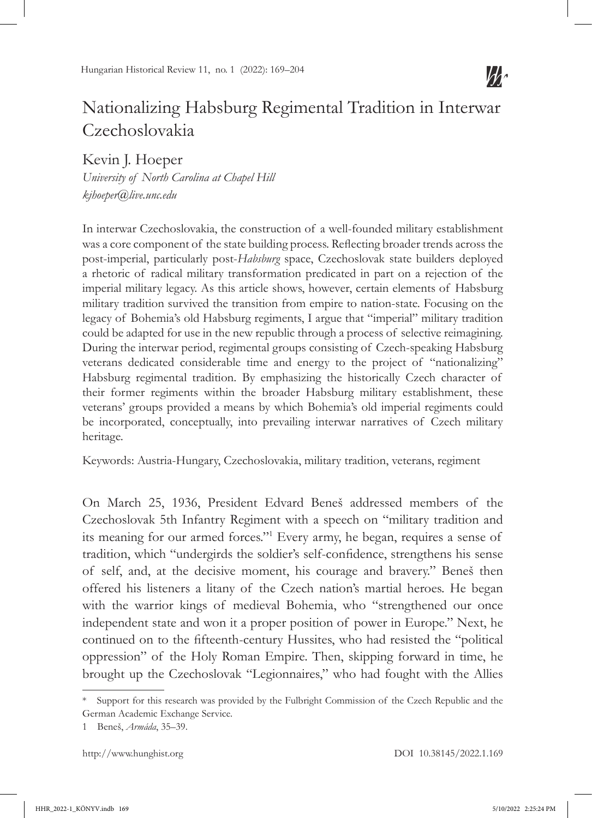

# Nationalizing Habsburg Regimental Tradition in Interwar Czechoslovakia

Kevin J. Hoeper *University of North Carolina at Chapel Hill kjhoeper@live.unc.edu* 

In interwar Czechoslovakia, the construction of a well-founded military establishment was a core component of the state building process. Reflecting broader trends across the post-imperial, particularly post-*Habsburg* space, Czechoslovak state builders deployed a rhetoric of radical military transformation predicated in part on a rejection of the imperial military legacy. As this article shows, however, certain elements of Habsburg military tradition survived the transition from empire to nation-state. Focusing on the legacy of Bohemia's old Habsburg regiments, I argue that "imperial" military tradition could be adapted for use in the new republic through a process of selective reimagining. During the interwar period, regimental groups consisting of Czech-speaking Habsburg veterans dedicated considerable time and energy to the project of "nationalizing" Habsburg regimental tradition. By emphasizing the historically Czech character of their former regiments within the broader Habsburg military establishment, these veterans' groups provided a means by which Bohemia's old imperial regiments could be incorporated, conceptually, into prevailing interwar narratives of Czech military heritage.

Keywords: Austria-Hungary, Czechoslovakia, military tradition, veterans, regiment

On March 25, 1936, President Edvard Beneš addressed members of the Czechoslovak 5th Infantry Regiment with a speech on "military tradition and its meaning for our armed forces."<sup>1</sup> Every army, he began, requires a sense of tradition, which "undergirds the soldier's self-confidence, strengthens his sense of self, and, at the decisive moment, his courage and bravery." Beneš then offered his listeners a litany of the Czech nation's martial heroes. He began with the warrior kings of medieval Bohemia, who "strengthened our once independent state and won it a proper position of power in Europe." Next, he continued on to the fifteenth-century Hussites, who had resisted the "political oppression" of the Holy Roman Empire. Then, skipping forward in time, he brought up the Czechoslovak "Legionnaires," who had fought with the Allies

Support for this research was provided by the Fulbright Commission of the Czech Republic and the German Academic Exchange Service.

<sup>1</sup> Beneš, *Armáda*, 35–39.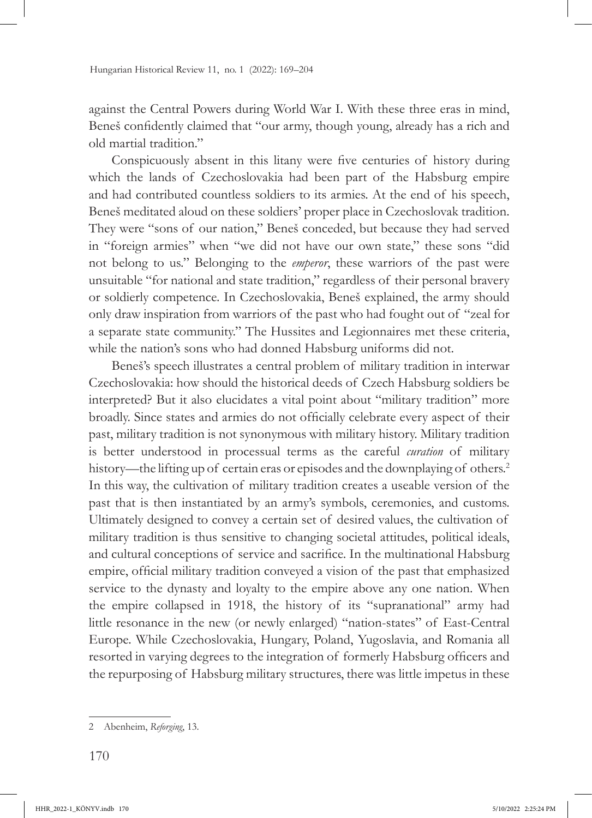against the Central Powers during World War I. With these three eras in mind, Beneš confidently claimed that "our army, though young, already has a rich and old martial tradition."

Conspicuously absent in this litany were five centuries of history during which the lands of Czechoslovakia had been part of the Habsburg empire and had contributed countless soldiers to its armies. At the end of his speech, Beneš meditated aloud on these soldiers' proper place in Czechoslovak tradition. They were "sons of our nation," Beneš conceded, but because they had served in "foreign armies" when "we did not have our own state," these sons "did not belong to us." Belonging to the *emperor*, these warriors of the past were unsuitable "for national and state tradition," regardless of their personal bravery or soldierly competence. In Czechoslovakia, Beneš explained, the army should only draw inspiration from warriors of the past who had fought out of "zeal for a separate state community." The Hussites and Legionnaires met these criteria, while the nation's sons who had donned Habsburg uniforms did not.

Beneš's speech illustrates a central problem of military tradition in interwar Czechoslovakia: how should the historical deeds of Czech Habsburg soldiers be interpreted? But it also elucidates a vital point about "military tradition" more broadly. Since states and armies do not officially celebrate every aspect of their past, military tradition is not synonymous with military history. Military tradition is better understood in processual terms as the careful *curation* of military history—the lifting up of certain eras or episodes and the downplaying of others.<sup>2</sup> In this way, the cultivation of military tradition creates a useable version of the past that is then instantiated by an army's symbols, ceremonies, and customs. Ultimately designed to convey a certain set of desired values, the cultivation of military tradition is thus sensitive to changing societal attitudes, political ideals, and cultural conceptions of service and sacrifice. In the multinational Habsburg empire, official military tradition conveyed a vision of the past that emphasized service to the dynasty and loyalty to the empire above any one nation. When the empire collapsed in 1918, the history of its "supranational" army had little resonance in the new (or newly enlarged) "nation-states" of East-Central Europe. While Czechoslovakia, Hungary, Poland, Yugoslavia, and Romania all resorted in varying degrees to the integration of formerly Habsburg officers and the repurposing of Habsburg military structures, there was little impetus in these

<sup>2</sup> Abenheim, *Reforging*, 13.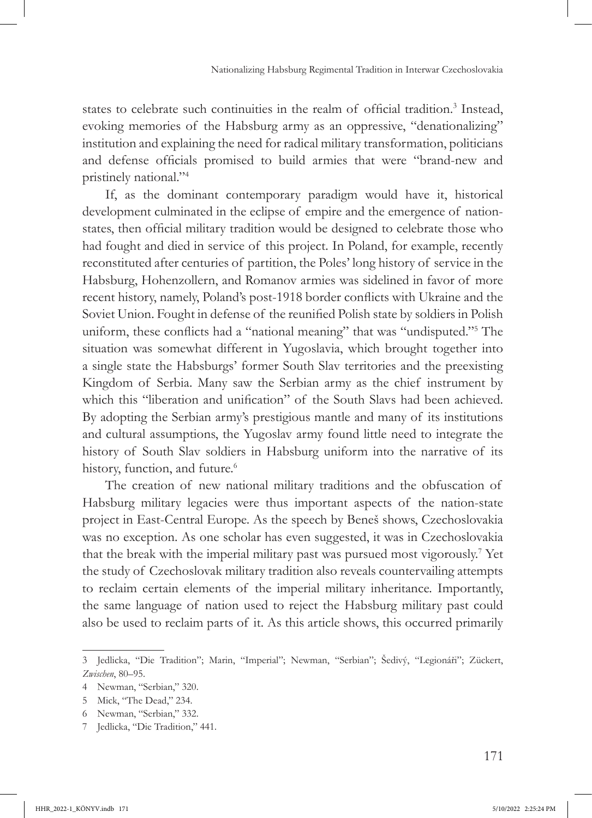states to celebrate such continuities in the realm of official tradition.<sup>3</sup> Instead, evoking memories of the Habsburg army as an oppressive, "denationalizing" institution and explaining the need for radical military transformation, politicians and defense officials promised to build armies that were "brand-new and pristinely national."<sup>4</sup>

If, as the dominant contemporary paradigm would have it, historical development culminated in the eclipse of empire and the emergence of nationstates, then official military tradition would be designed to celebrate those who had fought and died in service of this project. In Poland, for example, recently reconstituted after centuries of partition, the Poles' long history of service in the Habsburg, Hohenzollern, and Romanov armies was sidelined in favor of more recent history, namely, Poland's post-1918 border conflicts with Ukraine and the Soviet Union. Fought in defense of the reunified Polish state by soldiers in Polish uniform, these conflicts had a "national meaning" that was "undisputed."<sup>5</sup> The situation was somewhat different in Yugoslavia, which brought together into a single state the Habsburgs' former South Slav territories and the preexisting Kingdom of Serbia. Many saw the Serbian army as the chief instrument by which this "liberation and unification" of the South Slavs had been achieved. By adopting the Serbian army's prestigious mantle and many of its institutions and cultural assumptions, the Yugoslav army found little need to integrate the history of South Slav soldiers in Habsburg uniform into the narrative of its history, function, and future.<sup>6</sup>

The creation of new national military traditions and the obfuscation of Habsburg military legacies were thus important aspects of the nation-state project in East-Central Europe. As the speech by Beneš shows, Czechoslovakia was no exception. As one scholar has even suggested, it was in Czechoslovakia that the break with the imperial military past was pursued most vigorously.<sup>7</sup> Yet the study of Czechoslovak military tradition also reveals countervailing attempts to reclaim certain elements of the imperial military inheritance. Importantly, the same language of nation used to reject the Habsburg military past could also be used to reclaim parts of it. As this article shows, this occurred primarily

<sup>3</sup> Jedlicka, "Die Tradition"; Marin, "Imperial"; Newman, "Serbian"; Šedivý, "Legionáři"; Zückert, *Zwischen*, 80–95.

<sup>4</sup> Newman, "Serbian," 320.

<sup>5</sup> Mick, "The Dead," 234.

<sup>6</sup> Newman, "Serbian," 332.

<sup>7</sup> Jedlicka, "Die Tradition," 441.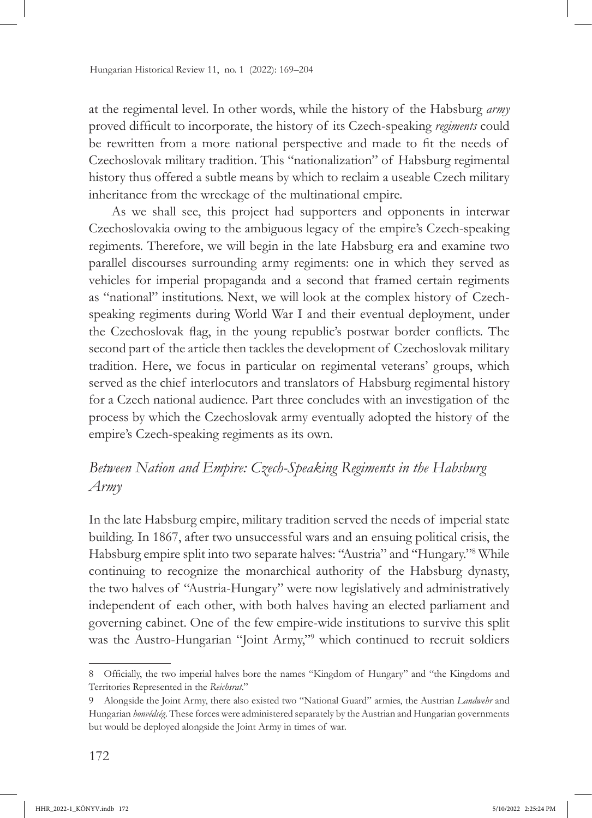at the regimental level. In other words, while the history of the Habsburg *army*  proved difficult to incorporate, the history of its Czech-speaking *regiments* could be rewritten from a more national perspective and made to fit the needs of Czechoslovak military tradition. This "nationalization" of Habsburg regimental history thus offered a subtle means by which to reclaim a useable Czech military inheritance from the wreckage of the multinational empire.

As we shall see, this project had supporters and opponents in interwar Czechoslovakia owing to the ambiguous legacy of the empire's Czech-speaking regiments. Therefore, we will begin in the late Habsburg era and examine two parallel discourses surrounding army regiments: one in which they served as vehicles for imperial propaganda and a second that framed certain regiments as "national" institutions. Next, we will look at the complex history of Czechspeaking regiments during World War I and their eventual deployment, under the Czechoslovak flag, in the young republic's postwar border conflicts. The second part of the article then tackles the development of Czechoslovak military tradition. Here, we focus in particular on regimental veterans' groups, which served as the chief interlocutors and translators of Habsburg regimental history for a Czech national audience. Part three concludes with an investigation of the process by which the Czechoslovak army eventually adopted the history of the empire's Czech-speaking regiments as its own.

## *Between Nation and Empire: Czech-Speaking Regiments in the Habsburg Army*

In the late Habsburg empire, military tradition served the needs of imperial state building. In 1867, after two unsuccessful wars and an ensuing political crisis, the Habsburg empire split into two separate halves: "Austria" and "Hungary."<sup>8</sup> While continuing to recognize the monarchical authority of the Habsburg dynasty, the two halves of "Austria-Hungary" were now legislatively and administratively independent of each other, with both halves having an elected parliament and governing cabinet. One of the few empire-wide institutions to survive this split was the Austro-Hungarian "Joint Army," which continued to recruit soldiers

<sup>8</sup> Officially, the two imperial halves bore the names "Kingdom of Hungary" and "the Kingdoms and Territories Represented in the *Reichsrat*."

<sup>9</sup> Alongside the Joint Army, there also existed two "National Guard" armies, the Austrian *Landwehr* and Hungarian *honvédség*. These forces were administered separately by the Austrian and Hungarian governments but would be deployed alongside the Joint Army in times of war.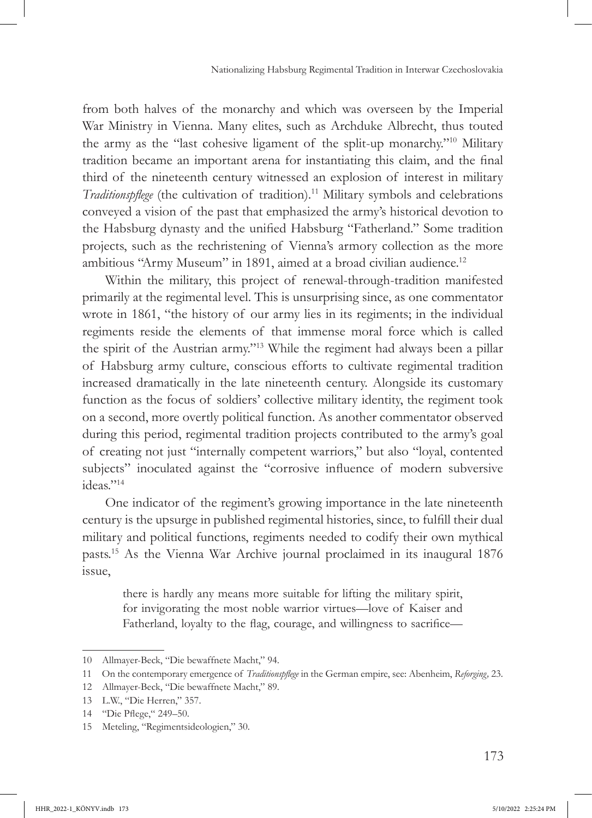from both halves of the monarchy and which was overseen by the Imperial War Ministry in Vienna. Many elites, such as Archduke Albrecht, thus touted the army as the "last cohesive ligament of the split-up monarchy."10 Military tradition became an important arena for instantiating this claim, and the final third of the nineteenth century witnessed an explosion of interest in military *Traditionspflege* (the cultivation of tradition).<sup>11</sup> Military symbols and celebrations conveyed a vision of the past that emphasized the army's historical devotion to the Habsburg dynasty and the unified Habsburg "Fatherland." Some tradition projects, such as the rechristening of Vienna's armory collection as the more ambitious "Army Museum" in 1891, aimed at a broad civilian audience.<sup>12</sup>

Within the military, this project of renewal-through-tradition manifested primarily at the regimental level. This is unsurprising since, as one commentator wrote in 1861, "the history of our army lies in its regiments; in the individual regiments reside the elements of that immense moral force which is called the spirit of the Austrian army."13 While the regiment had always been a pillar of Habsburg army culture, conscious efforts to cultivate regimental tradition increased dramatically in the late nineteenth century. Alongside its customary function as the focus of soldiers' collective military identity, the regiment took on a second, more overtly political function. As another commentator observed during this period, regimental tradition projects contributed to the army's goal of creating not just "internally competent warriors," but also "loyal, contented subjects" inoculated against the "corrosive influence of modern subversive  $ideas$ <sup>"14</sup>

One indicator of the regiment's growing importance in the late nineteenth century is the upsurge in published regimental histories, since, to fulfill their dual military and political functions, regiments needed to codify their own mythical pasts.15 As the Vienna War Archive journal proclaimed in its inaugural 1876 issue,

there is hardly any means more suitable for lifting the military spirit, for invigorating the most noble warrior virtues—love of Kaiser and Fatherland, loyalty to the flag, courage, and willingness to sacrifice—

<sup>10</sup> Allmayer-Beck, "Die bewaffnete Macht," 94.

<sup>11</sup> On the contemporary emergence of *Traditionspflege* in the German empire, see: Abenheim, *Reforging,* 23.

<sup>12</sup> Allmayer-Beck, "Die bewaffnete Macht," 89.

<sup>13</sup> L.W., "Die Herren," 357.

<sup>14</sup> "Die Pflege," 249–50.

<sup>15</sup> Meteling, "Regimentsideologien," 30.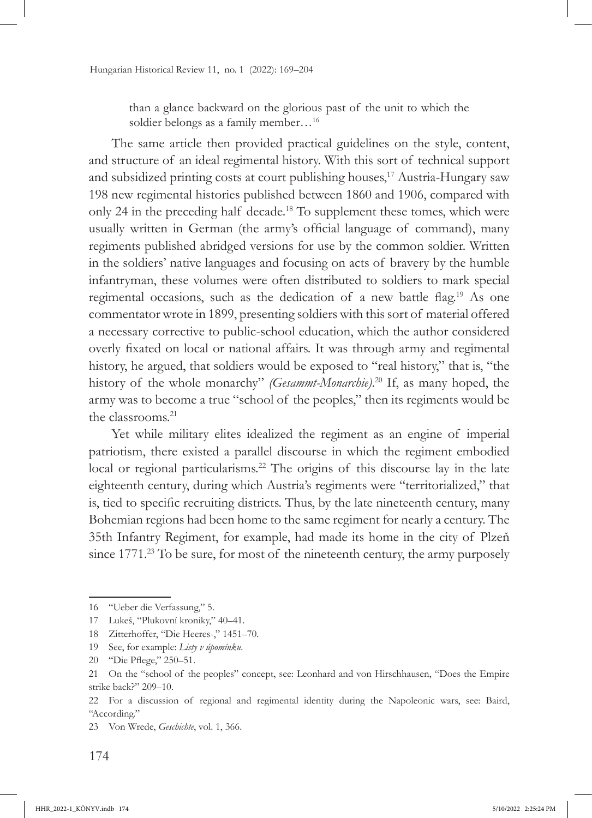than a glance backward on the glorious past of the unit to which the soldier belongs as a family member…16

The same article then provided practical guidelines on the style, content, and structure of an ideal regimental history. With this sort of technical support and subsidized printing costs at court publishing houses,<sup>17</sup> Austria-Hungary saw 198 new regimental histories published between 1860 and 1906, compared with only 24 in the preceding half decade.18 To supplement these tomes, which were usually written in German (the army's official language of command), many regiments published abridged versions for use by the common soldier. Written in the soldiers' native languages and focusing on acts of bravery by the humble infantryman, these volumes were often distributed to soldiers to mark special regimental occasions, such as the dedication of a new battle flag.<sup>19</sup> As one commentator wrote in 1899, presenting soldiers with this sort of material offered a necessary corrective to public-school education, which the author considered overly fixated on local or national affairs. It was through army and regimental history, he argued, that soldiers would be exposed to "real history," that is, "the history of the whole monarchy" *(Gesammt-Monarchie)*. 20 If, as many hoped, the army was to become a true "school of the peoples," then its regiments would be the classrooms.21

Yet while military elites idealized the regiment as an engine of imperial patriotism, there existed a parallel discourse in which the regiment embodied local or regional particularisms.<sup>22</sup> The origins of this discourse lay in the late eighteenth century, during which Austria's regiments were "territorialized," that is, tied to specific recruiting districts. Thus, by the late nineteenth century, many Bohemian regions had been home to the same regiment for nearly a century. The 35th Infantry Regiment, for example, had made its home in the city of Plzeň since 1771.<sup>23</sup> To be sure, for most of the nineteenth century, the army purposely

<sup>16</sup> "Ueber die Verfassung," 5.

<sup>17</sup> Lukeš, "Plukovní kroniky," 40–41.

<sup>18</sup> Zitterhoffer, "Die Heeres-," 1451–70.

<sup>19</sup> See, for example: *Listy v úpomínku*.

<sup>20</sup> "Die Pflege," 250–51.

<sup>21</sup> On the "school of the peoples" concept, see: Leonhard and von Hirschhausen, "Does the Empire strike back?" 209–10.

<sup>22</sup> For a discussion of regional and regimental identity during the Napoleonic wars, see: Baird, "According."

<sup>23</sup> Von Wrede, *Geschichte*, vol. 1, 366.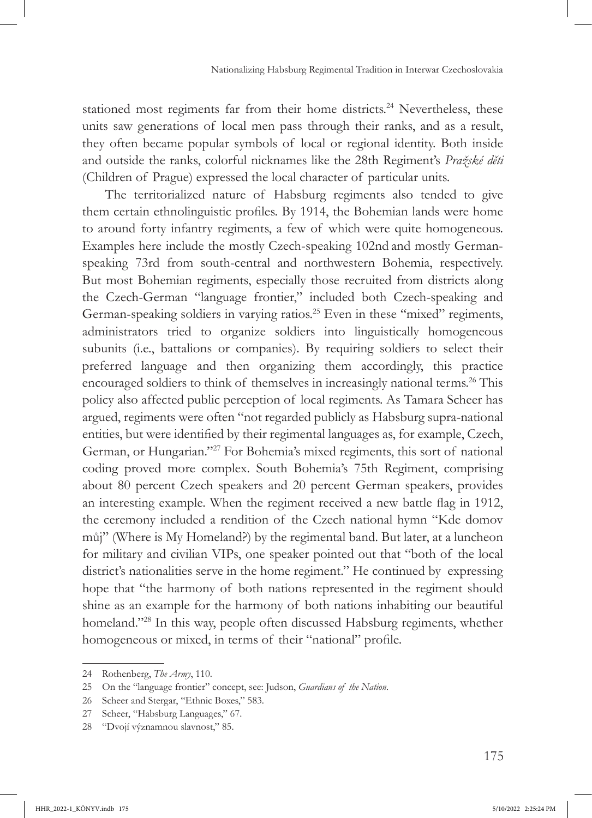stationed most regiments far from their home districts.<sup>24</sup> Nevertheless, these units saw generations of local men pass through their ranks, and as a result, they often became popular symbols of local or regional identity. Both inside and outside the ranks, colorful nicknames like the 28th Regiment's *Pražské děti* (Children of Prague) expressed the local character of particular units.

The territorialized nature of Habsburg regiments also tended to give them certain ethnolinguistic profiles. By 1914, the Bohemian lands were home to around forty infantry regiments, a few of which were quite homogeneous. Examples here include the mostly Czech-speaking 102nd and mostly Germanspeaking 73rd from south-central and northwestern Bohemia, respectively. But most Bohemian regiments, especially those recruited from districts along the Czech-German "language frontier," included both Czech-speaking and German-speaking soldiers in varying ratios.25 Even in these "mixed" regiments, administrators tried to organize soldiers into linguistically homogeneous subunits (i.e., battalions or companies). By requiring soldiers to select their preferred language and then organizing them accordingly, this practice encouraged soldiers to think of themselves in increasingly national terms.<sup>26</sup> This policy also affected public perception of local regiments. As Tamara Scheer has argued, regiments were often "not regarded publicly as Habsburg supra-national entities, but were identified by their regimental languages as, for example, Czech, German, or Hungarian."27 For Bohemia's mixed regiments, this sort of national coding proved more complex. South Bohemia's 75th Regiment, comprising about 80 percent Czech speakers and 20 percent German speakers, provides an interesting example. When the regiment received a new battle flag in 1912, the ceremony included a rendition of the Czech national hymn "Kde domov můj" (Where is My Homeland?) by the regimental band. But later, at a luncheon for military and civilian VIPs, one speaker pointed out that "both of the local district's nationalities serve in the home regiment." He continued by expressing hope that "the harmony of both nations represented in the regiment should shine as an example for the harmony of both nations inhabiting our beautiful homeland."28 In this way, people often discussed Habsburg regiments, whether homogeneous or mixed, in terms of their "national" profile.

<sup>24</sup> Rothenberg, *The Army*, 110.

<sup>25</sup> On the "language frontier" concept, see: Judson, *Guardians of the Nation*.

<sup>26</sup> Scheer and Stergar, "Ethnic Boxes," 583.

<sup>27</sup> Scheer, "Habsburg Languages," 67.

<sup>28</sup> "Dvojí významnou slavnost," 85.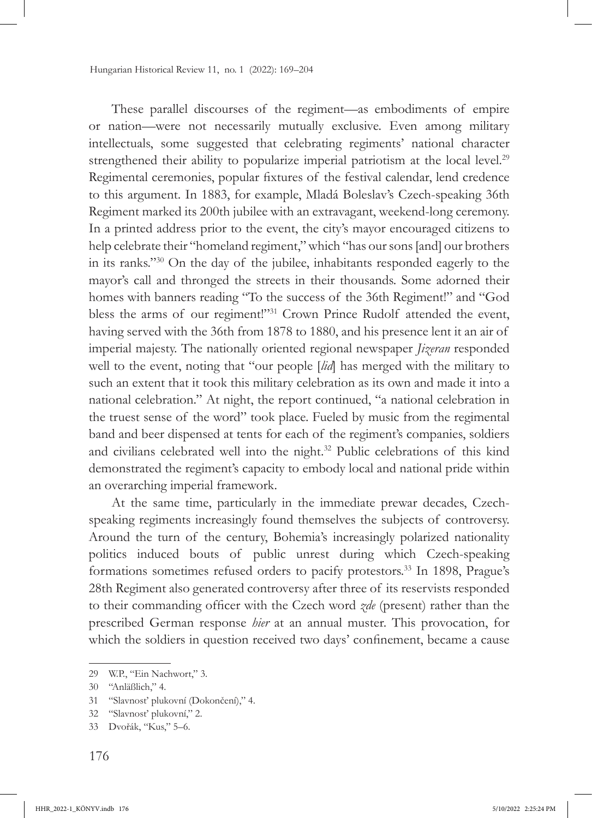These parallel discourses of the regiment—as embodiments of empire or nation—were not necessarily mutually exclusive. Even among military intellectuals, some suggested that celebrating regiments' national character strengthened their ability to popularize imperial patriotism at the local level.<sup>29</sup> Regimental ceremonies, popular fixtures of the festival calendar, lend credence to this argument. In 1883, for example, Mladá Boleslav's Czech-speaking 36th Regiment marked its 200th jubilee with an extravagant, weekend-long ceremony. In a printed address prior to the event, the city's mayor encouraged citizens to help celebrate their "homeland regiment," which "has our sons [and] our brothers in its ranks."<sup>30</sup> On the day of the jubilee, inhabitants responded eagerly to the mayor's call and thronged the streets in their thousands. Some adorned their homes with banners reading "To the success of the 36th Regiment!" and "God bless the arms of our regiment!"<sup>31</sup> Crown Prince Rudolf attended the event, having served with the 36th from 1878 to 1880, and his presence lent it an air of imperial majesty. The nationally oriented regional newspaper *Jizeran* responded well to the event, noting that "our people [*lid*] has merged with the military to such an extent that it took this military celebration as its own and made it into a national celebration." At night, the report continued, "a national celebration in the truest sense of the word" took place. Fueled by music from the regimental band and beer dispensed at tents for each of the regiment's companies, soldiers and civilians celebrated well into the night.<sup>32</sup> Public celebrations of this kind demonstrated the regiment's capacity to embody local and national pride within an overarching imperial framework.

At the same time, particularly in the immediate prewar decades, Czechspeaking regiments increasingly found themselves the subjects of controversy. Around the turn of the century, Bohemia's increasingly polarized nationality politics induced bouts of public unrest during which Czech-speaking formations sometimes refused orders to pacify protestors.<sup>33</sup> In 1898, Prague's 28th Regiment also generated controversy after three of its reservists responded to their commanding officer with the Czech word *zde* (present) rather than the prescribed German response *hier* at an annual muster. This provocation, for which the soldiers in question received two days' confinement, became a cause

<sup>29</sup> W.P., "Ein Nachwort," 3.

<sup>30</sup> "Anläßlich," 4.

<sup>31</sup> "Slavnosť plukovní (Dokončení)," 4.

<sup>32</sup> "Slavnosť plukovní," 2.

<sup>33</sup> Dvořák, "Kus," 5–6.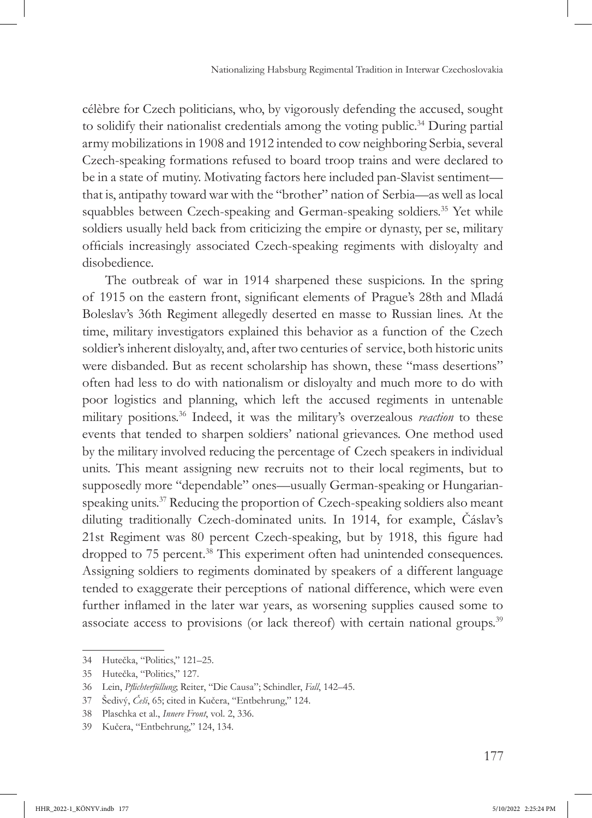célèbre for Czech politicians, who, by vigorously defending the accused, sought to solidify their nationalist credentials among the voting public.<sup>34</sup> During partial army mobilizations in 1908 and 1912 intended to cow neighboring Serbia, several Czech-speaking formations refused to board troop trains and were declared to be in a state of mutiny. Motivating factors here included pan-Slavist sentiment that is, antipathy toward war with the "brother" nation of Serbia—as well as local squabbles between Czech-speaking and German-speaking soldiers.<sup>35</sup> Yet while soldiers usually held back from criticizing the empire or dynasty, per se, military officials increasingly associated Czech-speaking regiments with disloyalty and disobedience.

The outbreak of war in 1914 sharpened these suspicions. In the spring of 1915 on the eastern front, significant elements of Prague's 28th and Mladá Boleslav's 36th Regiment allegedly deserted en masse to Russian lines. At the time, military investigators explained this behavior as a function of the Czech soldier's inherent disloyalty, and, after two centuries of service, both historic units were disbanded. But as recent scholarship has shown, these "mass desertions" often had less to do with nationalism or disloyalty and much more to do with poor logistics and planning, which left the accused regiments in untenable military positions.36 Indeed, it was the military's overzealous *reaction* to these events that tended to sharpen soldiers' national grievances. One method used by the military involved reducing the percentage of Czech speakers in individual units. This meant assigning new recruits not to their local regiments, but to supposedly more "dependable" ones—usually German-speaking or Hungarianspeaking units.<sup>37</sup> Reducing the proportion of Czech-speaking soldiers also meant diluting traditionally Czech-dominated units. In 1914, for example, Čáslav's 21st Regiment was 80 percent Czech-speaking, but by 1918, this figure had dropped to 75 percent.<sup>38</sup> This experiment often had unintended consequences. Assigning soldiers to regiments dominated by speakers of a different language tended to exaggerate their perceptions of national difference, which were even further inflamed in the later war years, as worsening supplies caused some to associate access to provisions (or lack thereof) with certain national groups.<sup>39</sup>

<sup>34</sup> Hutečka, "Politics," 121–25.

<sup>35</sup> Hutečka, "Politics," 127.

<sup>36</sup> Lein, *Pflichterfüllung*; Reiter, "Die Causa"; Schindler, *Fall*, 142–45.

<sup>37</sup> Šedivý, *Češi*, 65; cited in Kučera, "Entbehrung," 124.

<sup>38</sup> Plaschka et al., *Innere Front*, vol. 2, 336.

<sup>39</sup> Kučera, "Entbehrung," 124, 134.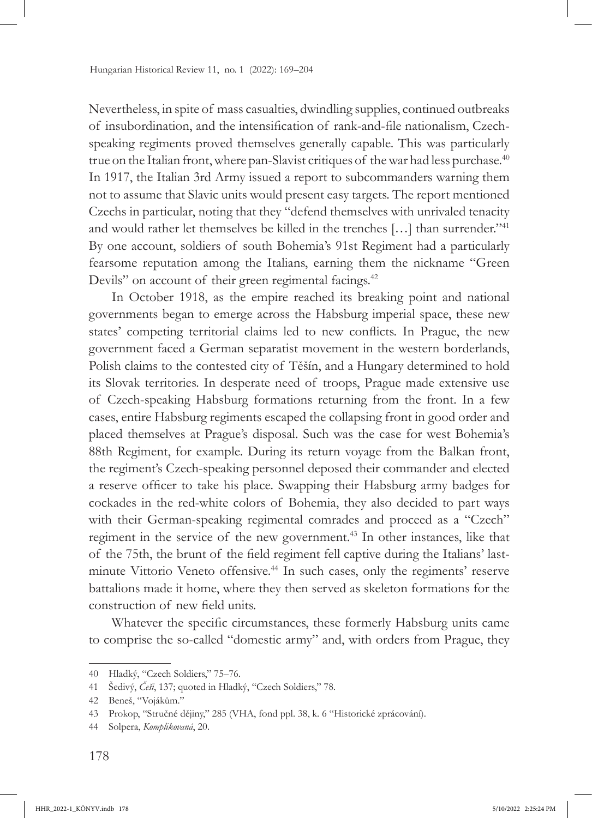Nevertheless, in spite of mass casualties, dwindling supplies, continued outbreaks of insubordination, and the intensification of rank-and-file nationalism, Czechspeaking regiments proved themselves generally capable. This was particularly true on the Italian front, where pan-Slavist critiques of the war had less purchase.<sup>40</sup> In 1917, the Italian 3rd Army issued a report to subcommanders warning them not to assume that Slavic units would present easy targets. The report mentioned Czechs in particular, noting that they "defend themselves with unrivaled tenacity and would rather let themselves be killed in the trenches [...] than surrender."<sup>41</sup> By one account, soldiers of south Bohemia's 91st Regiment had a particularly fearsome reputation among the Italians, earning them the nickname "Green Devils" on account of their green regimental facings.<sup>42</sup>

In October 1918, as the empire reached its breaking point and national governments began to emerge across the Habsburg imperial space, these new states' competing territorial claims led to new conflicts. In Prague, the new government faced a German separatist movement in the western borderlands, Polish claims to the contested city of Těšín, and a Hungary determined to hold its Slovak territories. In desperate need of troops, Prague made extensive use of Czech-speaking Habsburg formations returning from the front. In a few cases, entire Habsburg regiments escaped the collapsing front in good order and placed themselves at Prague's disposal. Such was the case for west Bohemia's 88th Regiment, for example. During its return voyage from the Balkan front, the regiment's Czech-speaking personnel deposed their commander and elected a reserve officer to take his place. Swapping their Habsburg army badges for cockades in the red-white colors of Bohemia, they also decided to part ways with their German-speaking regimental comrades and proceed as a "Czech" regiment in the service of the new government.<sup>43</sup> In other instances, like that of the 75th, the brunt of the field regiment fell captive during the Italians' lastminute Vittorio Veneto offensive.<sup>44</sup> In such cases, only the regiments' reserve battalions made it home, where they then served as skeleton formations for the construction of new field units.

Whatever the specific circumstances, these formerly Habsburg units came to comprise the so-called "domestic army" and, with orders from Prague, they

<sup>40</sup> Hladký, "Czech Soldiers," 75–76.

<sup>41</sup> Šedivý, *Češi*, 137; quoted in Hladký, "Czech Soldiers," 78.

<sup>42</sup> Beneš, "Vojákům."

<sup>43</sup> Prokop, "Stručné dějiny," 285 (VHA, fond ppl. 38, k. 6 "Historické zprácování).

<sup>44</sup> Solpera, *Komplikovaná*, 20.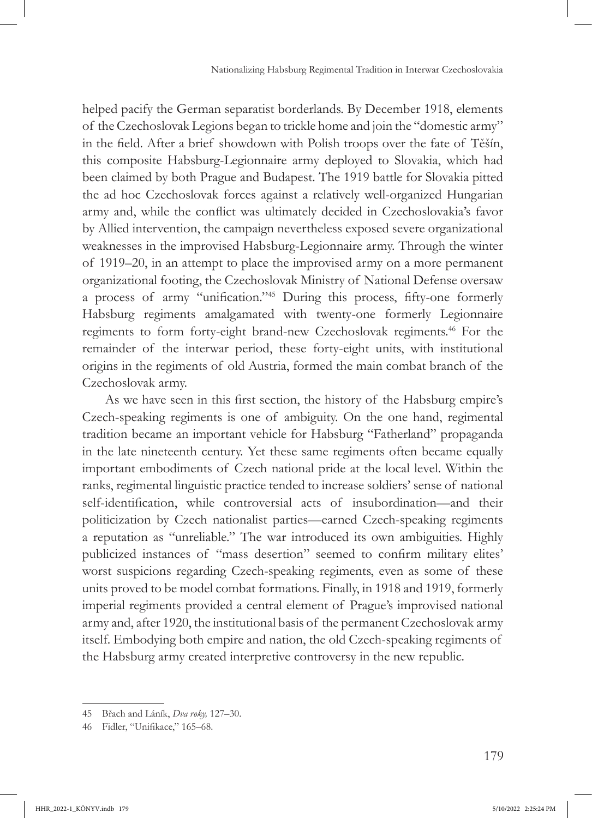helped pacify the German separatist borderlands. By December 1918, elements of the Czechoslovak Legions began to trickle home and join the "domestic army" in the field. After a brief showdown with Polish troops over the fate of Těšín, this composite Habsburg-Legionnaire army deployed to Slovakia, which had been claimed by both Prague and Budapest. The 1919 battle for Slovakia pitted the ad hoc Czechoslovak forces against a relatively well-organized Hungarian army and, while the conflict was ultimately decided in Czechoslovakia's favor by Allied intervention, the campaign nevertheless exposed severe organizational weaknesses in the improvised Habsburg-Legionnaire army. Through the winter of 1919–20, in an attempt to place the improvised army on a more permanent organizational footing, the Czechoslovak Ministry of National Defense oversaw a process of army "unification."<sup>45</sup> During this process, fifty-one formerly Habsburg regiments amalgamated with twenty-one formerly Legionnaire regiments to form forty-eight brand-new Czechoslovak regiments.<sup>46</sup> For the remainder of the interwar period, these forty-eight units, with institutional origins in the regiments of old Austria, formed the main combat branch of the Czechoslovak army.

As we have seen in this first section, the history of the Habsburg empire's Czech-speaking regiments is one of ambiguity. On the one hand, regimental tradition became an important vehicle for Habsburg "Fatherland" propaganda in the late nineteenth century. Yet these same regiments often became equally important embodiments of Czech national pride at the local level. Within the ranks, regimental linguistic practice tended to increase soldiers' sense of national self-identification, while controversial acts of insubordination—and their politicization by Czech nationalist parties—earned Czech-speaking regiments a reputation as "unreliable." The war introduced its own ambiguities. Highly publicized instances of "mass desertion" seemed to confirm military elites' worst suspicions regarding Czech-speaking regiments, even as some of these units proved to be model combat formations. Finally, in 1918 and 1919, formerly imperial regiments provided a central element of Prague's improvised national army and, after 1920, the institutional basis of the permanent Czechoslovak army itself. Embodying both empire and nation, the old Czech-speaking regiments of the Habsburg army created interpretive controversy in the new republic.

<sup>45</sup> Břach and Láník, *Dva roky,* 127–30.

<sup>46</sup> Fidler, "Unifikace," 165–68.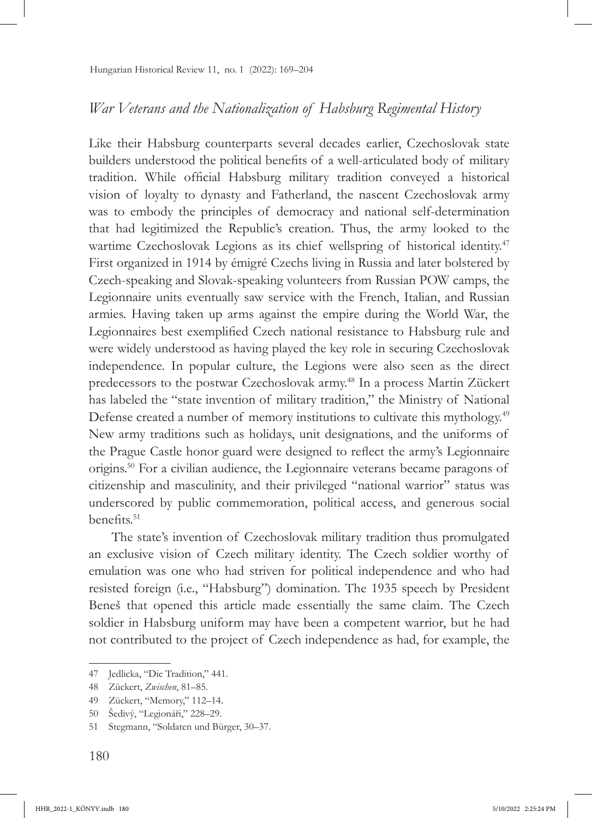#### *War Veterans and the Nationalization of Habsburg Regimental History*

Like their Habsburg counterparts several decades earlier, Czechoslovak state builders understood the political benefits of a well-articulated body of military tradition. While official Habsburg military tradition conveyed a historical vision of loyalty to dynasty and Fatherland, the nascent Czechoslovak army was to embody the principles of democracy and national self-determination that had legitimized the Republic's creation. Thus, the army looked to the wartime Czechoslovak Legions as its chief wellspring of historical identity.<sup>47</sup> First organized in 1914 by émigré Czechs living in Russia and later bolstered by Czech-speaking and Slovak-speaking volunteers from Russian POW camps, the Legionnaire units eventually saw service with the French, Italian, and Russian armies. Having taken up arms against the empire during the World War, the Legionnaires best exemplified Czech national resistance to Habsburg rule and were widely understood as having played the key role in securing Czechoslovak independence. In popular culture, the Legions were also seen as the direct predecessors to the postwar Czechoslovak army.<sup>48</sup> In a process Martin Zückert has labeled the "state invention of military tradition," the Ministry of National Defense created a number of memory institutions to cultivate this mythology.<sup>49</sup> New army traditions such as holidays, unit designations, and the uniforms of the Prague Castle honor guard were designed to reflect the army's Legionnaire origins.50 For a civilian audience, the Legionnaire veterans became paragons of citizenship and masculinity, and their privileged "national warrior" status was underscored by public commemoration, political access, and generous social benefits.<sup>51</sup>

The state's invention of Czechoslovak military tradition thus promulgated an exclusive vision of Czech military identity. The Czech soldier worthy of emulation was one who had striven for political independence and who had resisted foreign (i.e., "Habsburg") domination. The 1935 speech by President Beneš that opened this article made essentially the same claim. The Czech soldier in Habsburg uniform may have been a competent warrior, but he had not contributed to the project of Czech independence as had, for example, the

<sup>47</sup> Jedlicka, "Die Tradition," 441.

<sup>48</sup> Zückert, *Zwischen*, 81–85.

<sup>49</sup> Zückert, "Memory," 112–14.

<sup>50</sup> Šedivý, "Legionáři," 228–29.

<sup>51</sup> Stegmann, "Soldaten und Bürger, 30–37.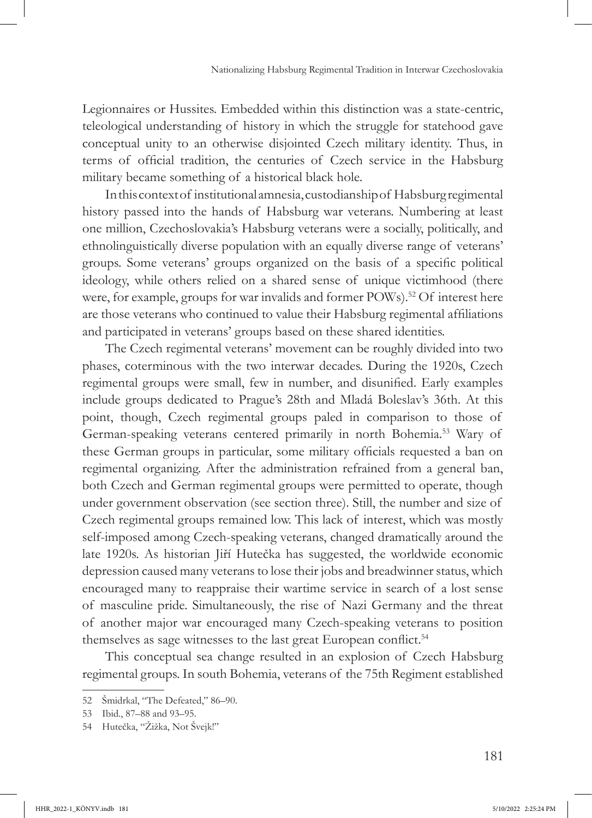Legionnaires or Hussites. Embedded within this distinction was a state-centric, teleological understanding of history in which the struggle for statehood gave conceptual unity to an otherwise disjointed Czech military identity. Thus, in terms of official tradition, the centuries of Czech service in the Habsburg military became something of a historical black hole.

In this context of institutional amnesia, custodianship of Habsburg regimental history passed into the hands of Habsburg war veterans. Numbering at least one million, Czechoslovakia's Habsburg veterans were a socially, politically, and ethnolinguistically diverse population with an equally diverse range of veterans' groups. Some veterans' groups organized on the basis of a specific political ideology, while others relied on a shared sense of unique victimhood (there were, for example, groups for war invalids and former POWs).<sup>52</sup> Of interest here are those veterans who continued to value their Habsburg regimental affiliations and participated in veterans' groups based on these shared identities.

The Czech regimental veterans' movement can be roughly divided into two phases, coterminous with the two interwar decades. During the 1920s, Czech regimental groups were small, few in number, and disunified. Early examples include groups dedicated to Prague's 28th and Mladá Boleslav's 36th. At this point, though, Czech regimental groups paled in comparison to those of German-speaking veterans centered primarily in north Bohemia.53 Wary of these German groups in particular, some military officials requested a ban on regimental organizing. After the administration refrained from a general ban, both Czech and German regimental groups were permitted to operate, though under government observation (see section three). Still, the number and size of Czech regimental groups remained low. This lack of interest, which was mostly self-imposed among Czech-speaking veterans, changed dramatically around the late 1920s. As historian Jiří Hutečka has suggested, the worldwide economic depression caused many veterans to lose their jobs and breadwinner status, which encouraged many to reappraise their wartime service in search of a lost sense of masculine pride. Simultaneously, the rise of Nazi Germany and the threat of another major war encouraged many Czech-speaking veterans to position themselves as sage witnesses to the last great European conflict.<sup>54</sup>

This conceptual sea change resulted in an explosion of Czech Habsburg regimental groups. In south Bohemia, veterans of the 75th Regiment established

<sup>52</sup> Šmidrkal, "The Defeated," 86–90.

<sup>53</sup> Ibid., 87–88 and 93–95.

<sup>54</sup> Hutečka, "Žižka, Not Švejk!"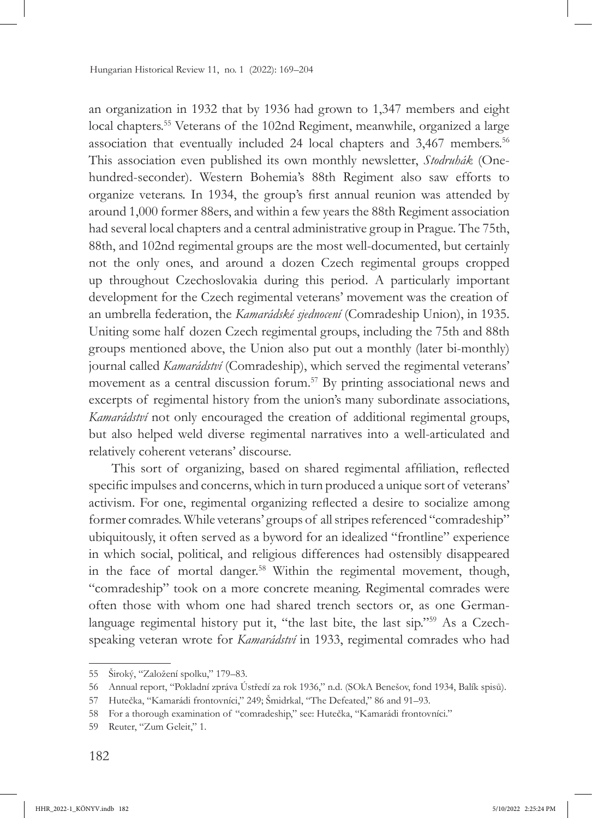an organization in 1932 that by 1936 had grown to 1,347 members and eight local chapters.<sup>55</sup> Veterans of the 102nd Regiment, meanwhile, organized a large association that eventually included 24 local chapters and 3,467 members.<sup>56</sup> This association even published its own monthly newsletter, *Stodruhák* (Onehundred-seconder). Western Bohemia's 88th Regiment also saw efforts to organize veterans. In 1934, the group's first annual reunion was attended by around 1,000 former 88ers, and within a few years the 88th Regiment association had several local chapters and a central administrative group in Prague. The 75th, 88th, and 102nd regimental groups are the most well-documented, but certainly not the only ones, and around a dozen Czech regimental groups cropped up throughout Czechoslovakia during this period. A particularly important development for the Czech regimental veterans' movement was the creation of an umbrella federation, the *Kamarádské sjednocení* (Comradeship Union), in 1935. Uniting some half dozen Czech regimental groups, including the 75th and 88th groups mentioned above, the Union also put out a monthly (later bi-monthly) journal called *Kamarádství* (Comradeship), which served the regimental veterans' movement as a central discussion forum.<sup>57</sup> By printing associational news and excerpts of regimental history from the union's many subordinate associations, *Kamarádství* not only encouraged the creation of additional regimental groups, but also helped weld diverse regimental narratives into a well-articulated and relatively coherent veterans' discourse.

This sort of organizing, based on shared regimental affiliation, reflected specific impulses and concerns, which in turn produced a unique sort of veterans' activism. For one, regimental organizing reflected a desire to socialize among former comrades. While veterans' groups of all stripes referenced "comradeship" ubiquitously, it often served as a byword for an idealized "frontline" experience in which social, political, and religious differences had ostensibly disappeared in the face of mortal danger.<sup>58</sup> Within the regimental movement, though, "comradeship" took on a more concrete meaning. Regimental comrades were often those with whom one had shared trench sectors or, as one Germanlanguage regimental history put it, "the last bite, the last sip."<sup>59</sup> As a Czechspeaking veteran wrote for *Kamarádství* in 1933, regimental comrades who had

<sup>55</sup> Široký, "Založení spolku," 179–83.

<sup>56</sup> Annual report, "Pokladní zpráva Ústředí za rok 1936," n.d. (SOkA Benešov, fond 1934, Balík spisů).

<sup>57</sup> Hutečka, "Kamarádi frontovníci," 249; Šmidrkal, "The Defeated," 86 and 91–93.

<sup>58</sup> For a thorough examination of "comradeship," see: Hutečka, "Kamarádi frontovníci."

<sup>59</sup> Reuter, "Zum Geleit," 1.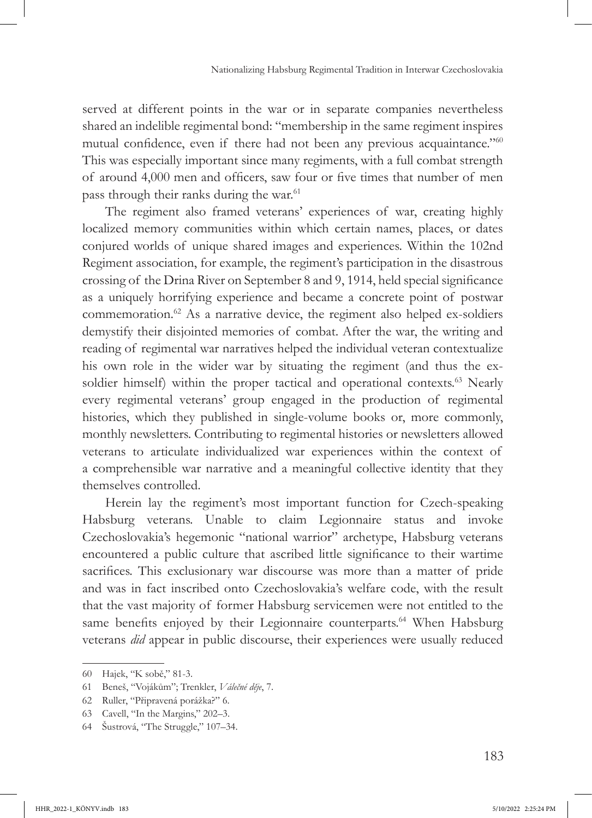served at different points in the war or in separate companies nevertheless shared an indelible regimental bond: "membership in the same regiment inspires mutual confidence, even if there had not been any previous acquaintance."<sup>60</sup> This was especially important since many regiments, with a full combat strength of around 4,000 men and officers, saw four or five times that number of men pass through their ranks during the war.<sup>61</sup>

The regiment also framed veterans' experiences of war, creating highly localized memory communities within which certain names, places, or dates conjured worlds of unique shared images and experiences. Within the 102nd Regiment association, for example, the regiment's participation in the disastrous crossing of the Drina River on September 8 and 9, 1914, held special significance as a uniquely horrifying experience and became a concrete point of postwar commemoration.62 As a narrative device, the regiment also helped ex-soldiers demystify their disjointed memories of combat. After the war, the writing and reading of regimental war narratives helped the individual veteran contextualize his own role in the wider war by situating the regiment (and thus the exsoldier himself) within the proper tactical and operational contexts.<sup>63</sup> Nearly every regimental veterans' group engaged in the production of regimental histories, which they published in single-volume books or, more commonly, monthly newsletters. Contributing to regimental histories or newsletters allowed veterans to articulate individualized war experiences within the context of a comprehensible war narrative and a meaningful collective identity that they themselves controlled.

Herein lay the regiment's most important function for Czech-speaking Habsburg veterans. Unable to claim Legionnaire status and invoke Czechoslovakia's hegemonic "national warrior" archetype, Habsburg veterans encountered a public culture that ascribed little significance to their wartime sacrifices. This exclusionary war discourse was more than a matter of pride and was in fact inscribed onto Czechoslovakia's welfare code, with the result that the vast majority of former Habsburg servicemen were not entitled to the same benefits enjoyed by their Legionnaire counterparts.<sup>64</sup> When Habsburg veterans *did* appear in public discourse, their experiences were usually reduced

<sup>60</sup> Hajek, "K sobě," 81-3.

<sup>61</sup> Beneš, "Vojákům"; Trenkler, *Válečné děje*, 7.

<sup>62</sup> Ruller, "Připravená porážka?" 6.

<sup>63</sup> Cavell, "In the Margins," 202–3.

<sup>64</sup> Šustrová, "The Struggle," 107–34.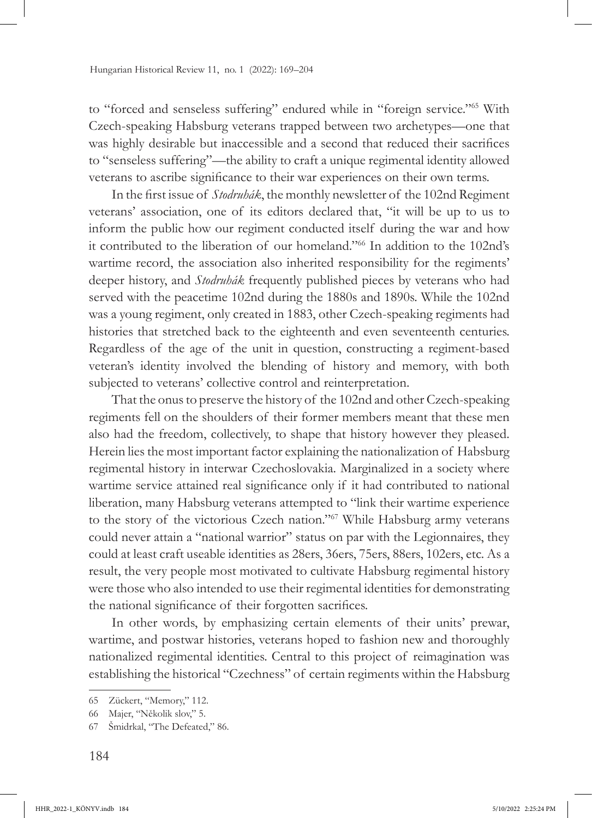to "forced and senseless suffering" endured while in "foreign service."65 With Czech-speaking Habsburg veterans trapped between two archetypes—one that was highly desirable but inaccessible and a second that reduced their sacrifices to "senseless suffering"—the ability to craft a unique regimental identity allowed veterans to ascribe significance to their war experiences on their own terms.

In the first issue of *Stodruhák*, the monthly newsletter of the 102nd Regiment veterans' association, one of its editors declared that, "it will be up to us to inform the public how our regiment conducted itself during the war and how it contributed to the liberation of our homeland."66 In addition to the 102nd's wartime record, the association also inherited responsibility for the regiments' deeper history, and *Stodruhák* frequently published pieces by veterans who had served with the peacetime 102nd during the 1880s and 1890s. While the 102nd was a young regiment, only created in 1883, other Czech-speaking regiments had histories that stretched back to the eighteenth and even seventeenth centuries. Regardless of the age of the unit in question, constructing a regiment-based veteran's identity involved the blending of history and memory, with both subjected to veterans' collective control and reinterpretation.

That the onus to preserve the history of the 102nd and other Czech-speaking regiments fell on the shoulders of their former members meant that these men also had the freedom, collectively, to shape that history however they pleased. Herein lies the most important factor explaining the nationalization of Habsburg regimental history in interwar Czechoslovakia. Marginalized in a society where wartime service attained real significance only if it had contributed to national liberation, many Habsburg veterans attempted to "link their wartime experience to the story of the victorious Czech nation."67 While Habsburg army veterans could never attain a "national warrior" status on par with the Legionnaires, they could at least craft useable identities as 28ers, 36ers, 75ers, 88ers, 102ers, etc. As a result, the very people most motivated to cultivate Habsburg regimental history were those who also intended to use their regimental identities for demonstrating the national significance of their forgotten sacrifices.

In other words, by emphasizing certain elements of their units' prewar, wartime, and postwar histories, veterans hoped to fashion new and thoroughly nationalized regimental identities. Central to this project of reimagination was establishing the historical "Czechness" of certain regiments within the Habsburg

<sup>65</sup> Zückert, "Memory," 112.

<sup>66</sup> Majer, "Několik slov," 5.

<sup>67</sup> Šmidrkal, "The Defeated," 86.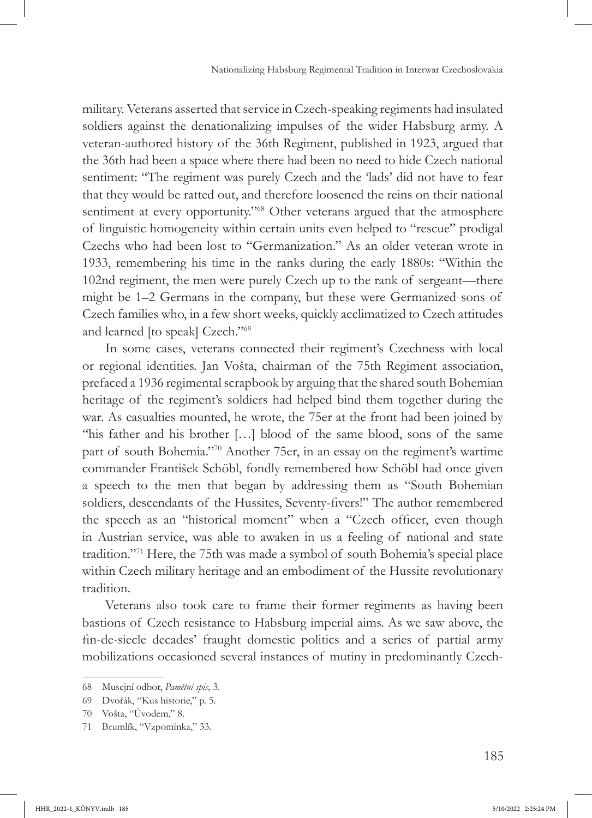military. Veterans asserted that service in Czech-speaking regiments had insulated soldiers against the denationalizing impulses of the wider Habsburg army. A veteran-authored history of the 36th Regiment, published in 1923, argued that the 36th had been a space where there had been no need to hide Czech national sentiment: "The regiment was purely Czech and the 'lads' did not have to fear that they would be ratted out, and therefore loosened the reins on their national sentiment at every opportunity."<sup>68</sup> Other veterans argued that the atmosphere of linguistic homogeneity within certain units even helped to "rescue" prodigal Czechs who had been lost to "Germanization." As an older veteran wrote in 1933, remembering his time in the ranks during the early 1880s: "Within the 102nd regiment, the men were purely Czech up to the rank of sergeant—there might be 1–2 Germans in the company, but these were Germanized sons of Czech families who, in a few short weeks, quickly acclimatized to Czech attitudes and learned [to speak] Czech."<sup>69</sup>

In some cases, veterans connected their regiment's Czechness with local or regional identities. Jan Vošta, chairman of the 75th Regiment association, prefaced a 1936 regimental scrapbook by arguing that the shared south Bohemian heritage of the regiment's soldiers had helped bind them together during the war. As casualties mounted, he wrote, the 75er at the front had been joined by "his father and his brother […] blood of the same blood, sons of the same part of south Bohemia."70 Another 75er, in an essay on the regiment's wartime commander František Schöbl, fondly remembered how Schöbl had once given a speech to the men that began by addressing them as "South Bohemian soldiers, descendants of the Hussites, Seventy-fivers!" The author remembered the speech as an "historical moment" when a "Czech officer, even though in Austrian service, was able to awaken in us a feeling of national and state tradition."71 Here, the 75th was made a symbol of south Bohemia's special place within Czech military heritage and an embodiment of the Hussite revolutionary tradition.

Veterans also took care to frame their former regiments as having been bastions of Czech resistance to Habsburg imperial aims. As we saw above, the fin-de-siecle decades' fraught domestic politics and a series of partial army mobilizations occasioned several instances of mutiny in predominantly Czech-

<sup>68</sup> Musejní odbor, *Pamětní spis*, 3.

<sup>69</sup> Dvořák, "Kus historie," p. 5.

<sup>70</sup> Vošta, "Úvodem," 8.

<sup>71</sup> Brumlík, "Vzpomínka," 33.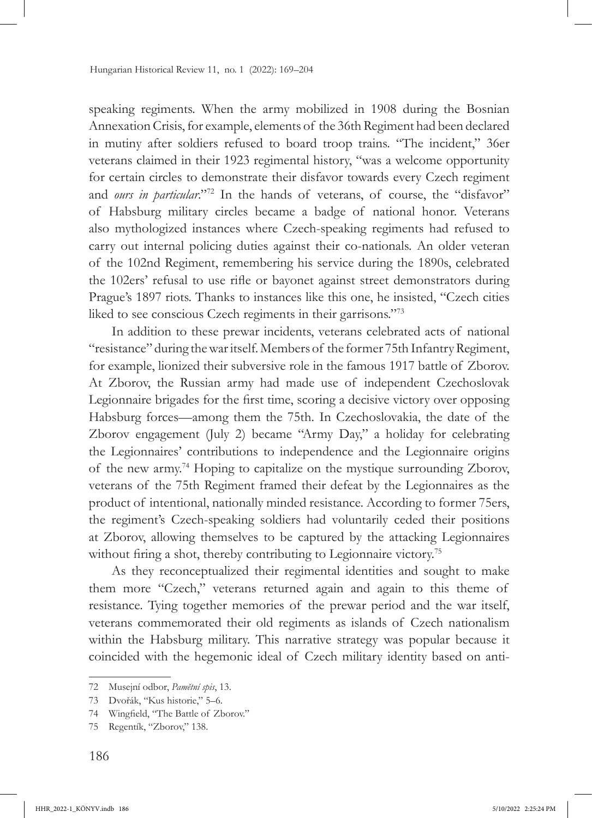speaking regiments. When the army mobilized in 1908 during the Bosnian Annexation Crisis, for example, elements of the 36th Regiment had been declared in mutiny after soldiers refused to board troop trains. "The incident," 36er veterans claimed in their 1923 regimental history, "was a welcome opportunity for certain circles to demonstrate their disfavor towards every Czech regiment and *ours in particular*."<sup>72</sup> In the hands of veterans, of course, the "disfavor" of Habsburg military circles became a badge of national honor. Veterans also mythologized instances where Czech-speaking regiments had refused to carry out internal policing duties against their co-nationals. An older veteran of the 102nd Regiment, remembering his service during the 1890s, celebrated the 102ers' refusal to use rifle or bayonet against street demonstrators during Prague's 1897 riots. Thanks to instances like this one, he insisted, "Czech cities liked to see conscious Czech regiments in their garrisons."<sup>73</sup>

In addition to these prewar incidents, veterans celebrated acts of national "resistance" during the war itself. Members of the former 75th Infantry Regiment, for example, lionized their subversive role in the famous 1917 battle of Zborov. At Zborov, the Russian army had made use of independent Czechoslovak Legionnaire brigades for the first time, scoring a decisive victory over opposing Habsburg forces—among them the 75th. In Czechoslovakia, the date of the Zborov engagement (July 2) became "Army Day," a holiday for celebrating the Legionnaires' contributions to independence and the Legionnaire origins of the new army.74 Hoping to capitalize on the mystique surrounding Zborov, veterans of the 75th Regiment framed their defeat by the Legionnaires as the product of intentional, nationally minded resistance. According to former 75ers, the regiment's Czech-speaking soldiers had voluntarily ceded their positions at Zborov, allowing themselves to be captured by the attacking Legionnaires without firing a shot, thereby contributing to Legionnaire victory.<sup>75</sup>

As they reconceptualized their regimental identities and sought to make them more "Czech," veterans returned again and again to this theme of resistance. Tying together memories of the prewar period and the war itself, veterans commemorated their old regiments as islands of Czech nationalism within the Habsburg military. This narrative strategy was popular because it coincided with the hegemonic ideal of Czech military identity based on anti-

<sup>72</sup> Musejní odbor, *Pamětní spis*, 13.

<sup>73</sup> Dvořák, "Kus historie," 5–6.

<sup>74</sup> Wingfield, "The Battle of Zborov."

<sup>75</sup> Regentík, "Zborov," 138.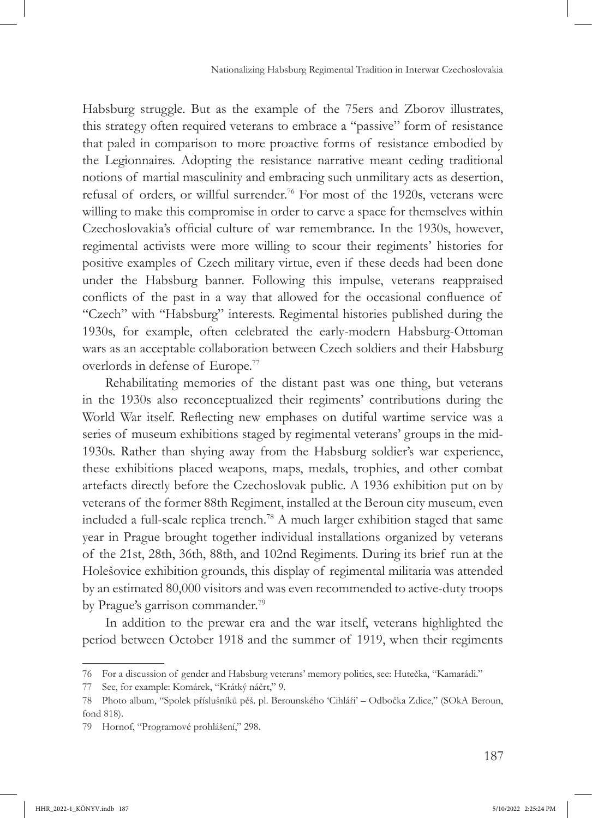Habsburg struggle. But as the example of the 75ers and Zborov illustrates, this strategy often required veterans to embrace a "passive" form of resistance that paled in comparison to more proactive forms of resistance embodied by the Legionnaires. Adopting the resistance narrative meant ceding traditional notions of martial masculinity and embracing such unmilitary acts as desertion, refusal of orders, or willful surrender.<sup>76</sup> For most of the 1920s, veterans were willing to make this compromise in order to carve a space for themselves within Czechoslovakia's official culture of war remembrance. In the 1930s, however, regimental activists were more willing to scour their regiments' histories for positive examples of Czech military virtue, even if these deeds had been done under the Habsburg banner. Following this impulse, veterans reappraised conflicts of the past in a way that allowed for the occasional confluence of "Czech" with "Habsburg" interests. Regimental histories published during the 1930s, for example, often celebrated the early-modern Habsburg-Ottoman wars as an acceptable collaboration between Czech soldiers and their Habsburg overlords in defense of Europe.77

Rehabilitating memories of the distant past was one thing, but veterans in the 1930s also reconceptualized their regiments' contributions during the World War itself. Reflecting new emphases on dutiful wartime service was a series of museum exhibitions staged by regimental veterans' groups in the mid-1930s. Rather than shying away from the Habsburg soldier's war experience, these exhibitions placed weapons, maps, medals, trophies, and other combat artefacts directly before the Czechoslovak public. A 1936 exhibition put on by veterans of the former 88th Regiment, installed at the Beroun city museum, even included a full-scale replica trench.<sup>78</sup> A much larger exhibition staged that same year in Prague brought together individual installations organized by veterans of the 21st, 28th, 36th, 88th, and 102nd Regiments. During its brief run at the Holešovice exhibition grounds, this display of regimental militaria was attended by an estimated 80,000 visitors and was even recommended to active-duty troops by Prague's garrison commander.<sup>79</sup>

In addition to the prewar era and the war itself, veterans highlighted the period between October 1918 and the summer of 1919, when their regiments

<sup>76</sup> For a discussion of gender and Habsburg veterans' memory politics, see: Hutečka, "Kamarádi."

<sup>77</sup> See, for example: Komárek, "Krátký náčrt," 9.

<sup>78</sup> Photo album, "Spolek příslušníků pěš. pl. Berounského 'Cihláři' – Odbočka Zdice," (SOkA Beroun, fond 818).

<sup>79</sup> Hornof, "Programové prohlášení," 298.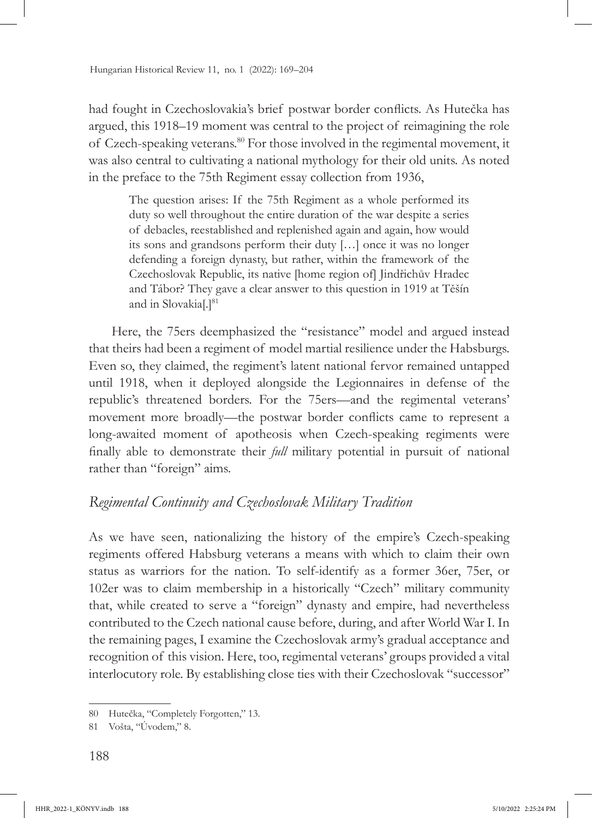had fought in Czechoslovakia's brief postwar border conflicts. As Hutečka has argued, this 1918–19 moment was central to the project of reimagining the role of Czech-speaking veterans.<sup>80</sup> For those involved in the regimental movement, it was also central to cultivating a national mythology for their old units. As noted in the preface to the 75th Regiment essay collection from 1936,

The question arises: If the 75th Regiment as a whole performed its duty so well throughout the entire duration of the war despite a series of debacles, reestablished and replenished again and again, how would its sons and grandsons perform their duty […] once it was no longer defending a foreign dynasty, but rather, within the framework of the Czechoslovak Republic, its native [home region of] Jindřichův Hradec and Tábor? They gave a clear answer to this question in 1919 at Těšín and in Slovakia<sup>[181</sup>]

Here, the 75ers deemphasized the "resistance" model and argued instead that theirs had been a regiment of model martial resilience under the Habsburgs. Even so, they claimed, the regiment's latent national fervor remained untapped until 1918, when it deployed alongside the Legionnaires in defense of the republic's threatened borders. For the 75ers—and the regimental veterans' movement more broadly—the postwar border conflicts came to represent a long-awaited moment of apotheosis when Czech-speaking regiments were finally able to demonstrate their *full* military potential in pursuit of national rather than "foreign" aims.

## *Regimental Continuity and Czechoslovak Military Tradition*

As we have seen, nationalizing the history of the empire's Czech-speaking regiments offered Habsburg veterans a means with which to claim their own status as warriors for the nation. To self-identify as a former 36er, 75er, or 102er was to claim membership in a historically "Czech" military community that, while created to serve a "foreign" dynasty and empire, had nevertheless contributed to the Czech national cause before, during, and after World War I. In the remaining pages, I examine the Czechoslovak army's gradual acceptance and recognition of this vision. Here, too, regimental veterans' groups provided a vital interlocutory role. By establishing close ties with their Czechoslovak "successor"

<sup>80</sup> Hutečka, "Completely Forgotten," 13.

<sup>81</sup> Vošta, "Úvodem," 8.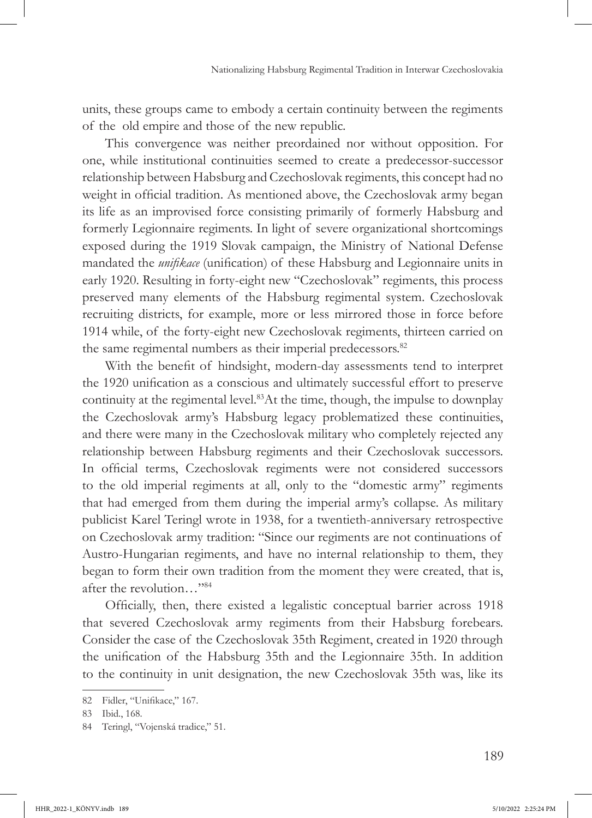units, these groups came to embody a certain continuity between the regiments of the old empire and those of the new republic.

This convergence was neither preordained nor without opposition. For one, while institutional continuities seemed to create a predecessor-successor relationship between Habsburg and Czechoslovak regiments, this concept had no weight in official tradition. As mentioned above, the Czechoslovak army began its life as an improvised force consisting primarily of formerly Habsburg and formerly Legionnaire regiments. In light of severe organizational shortcomings exposed during the 1919 Slovak campaign, the Ministry of National Defense mandated the *unifikace* (unification) of these Habsburg and Legionnaire units in early 1920. Resulting in forty-eight new "Czechoslovak" regiments, this process preserved many elements of the Habsburg regimental system. Czechoslovak recruiting districts, for example, more or less mirrored those in force before 1914 while, of the forty-eight new Czechoslovak regiments, thirteen carried on the same regimental numbers as their imperial predecessors.<sup>82</sup>

With the benefit of hindsight, modern-day assessments tend to interpret the 1920 unification as a conscious and ultimately successful effort to preserve continuity at the regimental level.<sup>83</sup>At the time, though, the impulse to downplay the Czechoslovak army's Habsburg legacy problematized these continuities, and there were many in the Czechoslovak military who completely rejected any relationship between Habsburg regiments and their Czechoslovak successors. In official terms, Czechoslovak regiments were not considered successors to the old imperial regiments at all, only to the "domestic army" regiments that had emerged from them during the imperial army's collapse. As military publicist Karel Teringl wrote in 1938, for a twentieth-anniversary retrospective on Czechoslovak army tradition: "Since our regiments are not continuations of Austro-Hungarian regiments, and have no internal relationship to them, they began to form their own tradition from the moment they were created, that is, after the revolution…"<sup>84</sup>

Officially, then, there existed a legalistic conceptual barrier across 1918 that severed Czechoslovak army regiments from their Habsburg forebears. Consider the case of the Czechoslovak 35th Regiment, created in 1920 through the unification of the Habsburg 35th and the Legionnaire 35th. In addition to the continuity in unit designation, the new Czechoslovak 35th was, like its

<sup>82</sup> Fidler, "Unifikace," 167.

<sup>83</sup> Ibid., 168.

<sup>84</sup> Teringl, "Vojenská tradice," 51.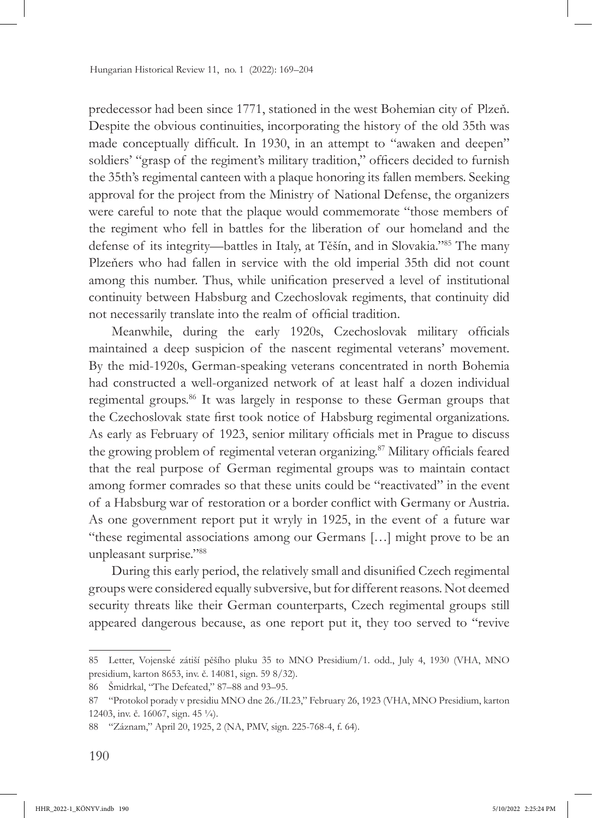predecessor had been since 1771, stationed in the west Bohemian city of Plzeň. Despite the obvious continuities, incorporating the history of the old 35th was made conceptually difficult. In 1930, in an attempt to "awaken and deepen" soldiers' "grasp of the regiment's military tradition," officers decided to furnish the 35th's regimental canteen with a plaque honoring its fallen members. Seeking approval for the project from the Ministry of National Defense, the organizers were careful to note that the plaque would commemorate "those members of the regiment who fell in battles for the liberation of our homeland and the defense of its integrity—battles in Italy, at Těšín, and in Slovakia."85 The many Plzeňers who had fallen in service with the old imperial 35th did not count among this number. Thus, while unification preserved a level of institutional continuity between Habsburg and Czechoslovak regiments, that continuity did not necessarily translate into the realm of official tradition.

Meanwhile, during the early 1920s, Czechoslovak military officials maintained a deep suspicion of the nascent regimental veterans' movement. By the mid-1920s, German-speaking veterans concentrated in north Bohemia had constructed a well-organized network of at least half a dozen individual regimental groups.86 It was largely in response to these German groups that the Czechoslovak state first took notice of Habsburg regimental organizations. As early as February of 1923, senior military officials met in Prague to discuss the growing problem of regimental veteran organizing.<sup>87</sup> Military officials feared that the real purpose of German regimental groups was to maintain contact among former comrades so that these units could be "reactivated" in the event of a Habsburg war of restoration or a border conflict with Germany or Austria. As one government report put it wryly in 1925, in the event of a future war "these regimental associations among our Germans […] might prove to be an unpleasant surprise."<sup>88</sup>

During this early period, the relatively small and disunified Czech regimental groups were considered equally subversive, but for different reasons. Not deemed security threats like their German counterparts, Czech regimental groups still appeared dangerous because, as one report put it, they too served to "revive

<sup>85</sup> Letter, Vojenské zátiší pěšího pluku 35 to MNO Presidium/1. odd., July 4, 1930 (VHA, MNO presidium, karton 8653, inv. č. 14081, sign. 59 8/32).

<sup>86</sup> Šmidrkal, "The Defeated," 87–88 and 93–95.

<sup>87</sup> "Protokol porady v presidiu MNO dne 26./II.23," February 26, 1923 (VHA, MNO Presidium, karton 12403, inv. č. 16067, sign. 45 ¼).

<sup>88</sup> "Záznam," April 20, 1925, 2 (NA, PMV, sign. 225-768-4, f. 64).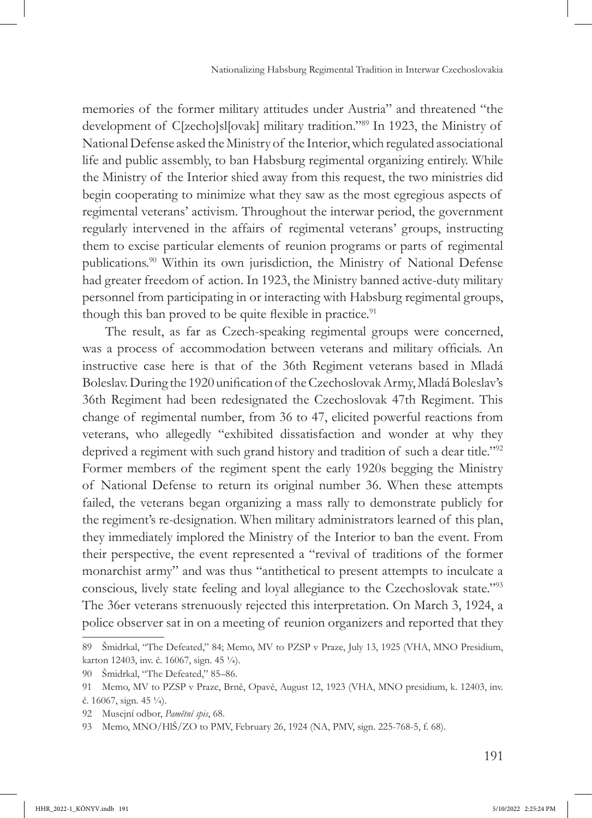memories of the former military attitudes under Austria" and threatened "the development of C[zecho]sl[ovak] military tradition."<sup>89</sup> In 1923, the Ministry of National Defense asked the Ministry of the Interior, which regulated associational life and public assembly, to ban Habsburg regimental organizing entirely. While the Ministry of the Interior shied away from this request, the two ministries did begin cooperating to minimize what they saw as the most egregious aspects of regimental veterans' activism. Throughout the interwar period, the government regularly intervened in the affairs of regimental veterans' groups, instructing them to excise particular elements of reunion programs or parts of regimental publications.90 Within its own jurisdiction, the Ministry of National Defense had greater freedom of action. In 1923, the Ministry banned active-duty military personnel from participating in or interacting with Habsburg regimental groups, though this ban proved to be quite flexible in practice.<sup>91</sup>

The result, as far as Czech-speaking regimental groups were concerned, was a process of accommodation between veterans and military officials. An instructive case here is that of the 36th Regiment veterans based in Mladá Boleslav. During the 1920 unification of the Czechoslovak Army, Mladá Boleslav's 36th Regiment had been redesignated the Czechoslovak 47th Regiment. This change of regimental number, from 36 to 47, elicited powerful reactions from veterans, who allegedly "exhibited dissatisfaction and wonder at why they deprived a regiment with such grand history and tradition of such a dear title."<sup>92</sup> Former members of the regiment spent the early 1920s begging the Ministry of National Defense to return its original number 36. When these attempts failed, the veterans began organizing a mass rally to demonstrate publicly for the regiment's re-designation. When military administrators learned of this plan, they immediately implored the Ministry of the Interior to ban the event. From their perspective, the event represented a "revival of traditions of the former monarchist army" and was thus "antithetical to present attempts to inculcate a conscious, lively state feeling and loyal allegiance to the Czechoslovak state."<sup>93</sup> The 36er veterans strenuously rejected this interpretation. On March 3, 1924, a police observer sat in on a meeting of reunion organizers and reported that they

<sup>89</sup> Šmidrkal, "The Defeated," 84; Memo, MV to PZSP v Praze, July 13, 1925 (VHA, MNO Presidium, karton 12403, inv. č. 16067, sign. 45 ¼).

<sup>90</sup> Šmidrkal, "The Defeated," 85–86.

<sup>91</sup> Memo, MV to PZSP v Praze, Brně, Opavě, August 12, 1923 (VHA, MNO presidium, k. 12403, inv. č. 16067, sign. 45 ¼).

<sup>92</sup> Musejní odbor, *Pamětní spis*, 68.

<sup>93</sup> Memo, MNO/HlŠ/ZO to PMV, February 26, 1924 (NA, PMV, sign. 225-768-5, f. 68).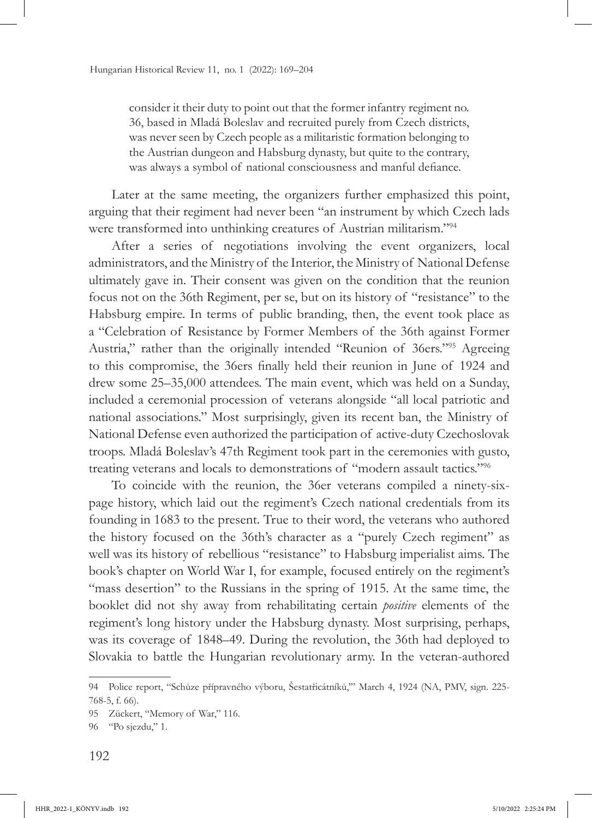consider it their duty to point out that the former infantry regiment no. 36, based in Mladá Boleslav and recruited purely from Czech districts, was never seen by Czech people as a militaristic formation belonging to the Austrian dungeon and Habsburg dynasty, but quite to the contrary, was always a symbol of national consciousness and manful defiance.

Later at the same meeting, the organizers further emphasized this point, arguing that their regiment had never been "an instrument by which Czech lads were transformed into unthinking creatures of Austrian militarism."<sup>94</sup>

After a series of negotiations involving the event organizers, local administrators, and the Ministry of the Interior, the Ministry of National Defense ultimately gave in. Their consent was given on the condition that the reunion focus not on the 36th Regiment, per se, but on its history of "resistance" to the Habsburg empire. In terms of public branding, then, the event took place as a "Celebration of Resistance by Former Members of the 36th against Former Austria," rather than the originally intended "Reunion of 36ers."95 Agreeing to this compromise, the 36ers finally held their reunion in June of 1924 and drew some 25–35,000 attendees. The main event, which was held on a Sunday, included a ceremonial procession of veterans alongside "all local patriotic and national associations." Most surprisingly, given its recent ban, the Ministry of National Defense even authorized the participation of active-duty Czechoslovak troops. Mladá Boleslav's 47th Regiment took part in the ceremonies with gusto, treating veterans and locals to demonstrations of "modern assault tactics."<sup>96</sup>

To coincide with the reunion, the 36er veterans compiled a ninety-sixpage history, which laid out the regiment's Czech national credentials from its founding in 1683 to the present. True to their word, the veterans who authored the history focused on the 36th's character as a "purely Czech regiment" as well was its history of rebellious "resistance" to Habsburg imperialist aims. The book's chapter on World War I, for example, focused entirely on the regiment's "mass desertion" to the Russians in the spring of 1915. At the same time, the booklet did not shy away from rehabilitating certain *positive* elements of the regiment's long history under the Habsburg dynasty. Most surprising, perhaps, was its coverage of 1848–49. During the revolution, the 36th had deployed to Slovakia to battle the Hungarian revolutionary army. In the veteran-authored

<sup>94</sup> Police report, "Schůze přípravného výboru, Šestatřicátníků,'" March 4, 1924 (NA, PMV, sign. 225- 768-5, f. 66).

<sup>95</sup> Zückert, "Memory of War," 116.

<sup>96</sup> "Po sjezdu," 1.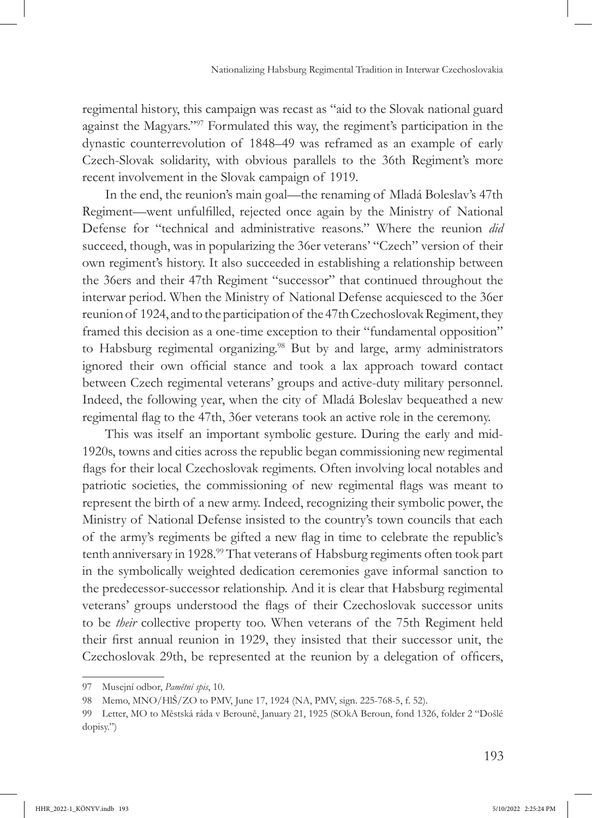regimental history, this campaign was recast as "aid to the Slovak national guard against the Magyars."97 Formulated this way, the regiment's participation in the dynastic counterrevolution of 1848–49 was reframed as an example of early Czech-Slovak solidarity, with obvious parallels to the 36th Regiment's more recent involvement in the Slovak campaign of 1919.

In the end, the reunion's main goal—the renaming of Mladá Boleslav's 47th Regiment—went unfulfilled, rejected once again by the Ministry of National Defense for "technical and administrative reasons." Where the reunion *did* succeed, though, was in popularizing the 36er veterans' "Czech" version of their own regiment's history. It also succeeded in establishing a relationship between the 36ers and their 47th Regiment "successor" that continued throughout the interwar period. When the Ministry of National Defense acquiesced to the 36er reunion of 1924, and to the participation of the 47th Czechoslovak Regiment, they framed this decision as a one-time exception to their "fundamental opposition" to Habsburg regimental organizing.<sup>98</sup> But by and large, army administrators ignored their own official stance and took a lax approach toward contact between Czech regimental veterans' groups and active-duty military personnel. Indeed, the following year, when the city of Mladá Boleslav bequeathed a new regimental flag to the 47th, 36er veterans took an active role in the ceremony.

This was itself an important symbolic gesture. During the early and mid-1920s, towns and cities across the republic began commissioning new regimental flags for their local Czechoslovak regiments. Often involving local notables and patriotic societies, the commissioning of new regimental flags was meant to represent the birth of a new army. Indeed, recognizing their symbolic power, the Ministry of National Defense insisted to the country's town councils that each of the army's regiments be gifted a new flag in time to celebrate the republic's tenth anniversary in 1928.<sup>99</sup> That veterans of Habsburg regiments often took part in the symbolically weighted dedication ceremonies gave informal sanction to the predecessor-successor relationship. And it is clear that Habsburg regimental veterans' groups understood the flags of their Czechoslovak successor units to be *their* collective property too. When veterans of the 75th Regiment held their first annual reunion in 1929, they insisted that their successor unit, the Czechoslovak 29th, be represented at the reunion by a delegation of officers,

<sup>97</sup> Musejní odbor, *Pamětní spis*, 10.

<sup>98</sup> Memo, MNO/HlŠ/ZO to PMV, June 17, 1924 (NA, PMV, sign. 225-768-5, f. 52).

<sup>99</sup> Letter, MO to Městská ráda v Berouně, January 21, 1925 (SOkA Beroun, fond 1326, folder 2 "Došlé dopisy.")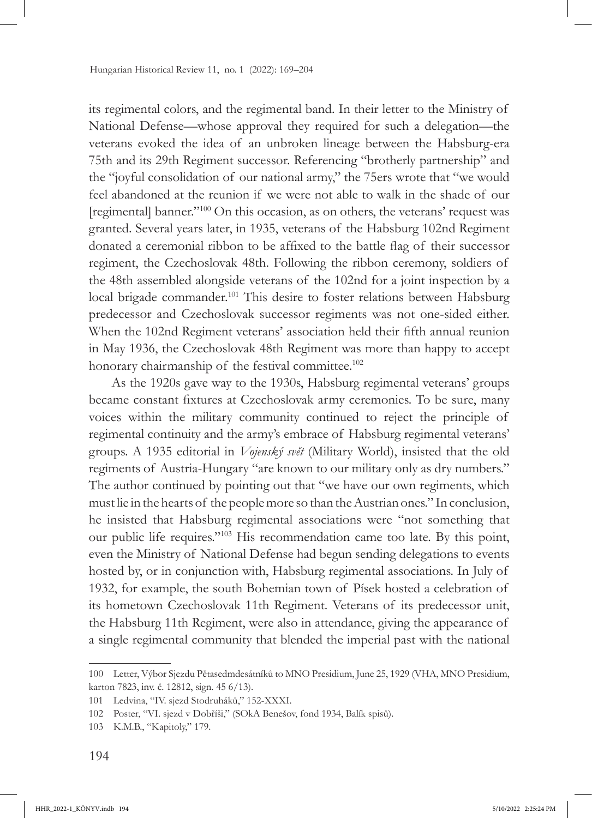its regimental colors, and the regimental band. In their letter to the Ministry of National Defense—whose approval they required for such a delegation—the veterans evoked the idea of an unbroken lineage between the Habsburg-era 75th and its 29th Regiment successor. Referencing "brotherly partnership" and the "joyful consolidation of our national army," the 75ers wrote that "we would feel abandoned at the reunion if we were not able to walk in the shade of our [regimental] banner."100 On this occasion, as on others, the veterans' request was granted. Several years later, in 1935, veterans of the Habsburg 102nd Regiment donated a ceremonial ribbon to be affixed to the battle flag of their successor regiment, the Czechoslovak 48th. Following the ribbon ceremony, soldiers of the 48th assembled alongside veterans of the 102nd for a joint inspection by a local brigade commander.<sup>101</sup> This desire to foster relations between Habsburg predecessor and Czechoslovak successor regiments was not one-sided either. When the 102nd Regiment veterans' association held their fifth annual reunion in May 1936, the Czechoslovak 48th Regiment was more than happy to accept honorary chairmanship of the festival committee.<sup>102</sup>

As the 1920s gave way to the 1930s, Habsburg regimental veterans' groups became constant fixtures at Czechoslovak army ceremonies. To be sure, many voices within the military community continued to reject the principle of regimental continuity and the army's embrace of Habsburg regimental veterans' groups. A 1935 editorial in *Vojenský svět* (Military World), insisted that the old regiments of Austria-Hungary "are known to our military only as dry numbers." The author continued by pointing out that "we have our own regiments, which must lie in the hearts of the people more so than the Austrian ones." In conclusion, he insisted that Habsburg regimental associations were "not something that our public life requires."103 His recommendation came too late. By this point, even the Ministry of National Defense had begun sending delegations to events hosted by, or in conjunction with, Habsburg regimental associations. In July of 1932, for example, the south Bohemian town of Písek hosted a celebration of its hometown Czechoslovak 11th Regiment. Veterans of its predecessor unit, the Habsburg 11th Regiment, were also in attendance, giving the appearance of a single regimental community that blended the imperial past with the national

<sup>100</sup> Letter, Výbor Sjezdu Pětasedmdesátníků to MNO Presidium, June 25, 1929 (VHA, MNO Presidium, karton 7823, inv. č. 12812, sign. 45 6/13).

<sup>101</sup> Ledvina, "IV. sjezd Stodruháků," 152-XXXI.

<sup>102</sup> Poster, "VI. sjezd v Dobříši," (SOkA Benešov, fond 1934, Balík spisů).

<sup>103</sup> K.M.B., "Kapitoly," 179.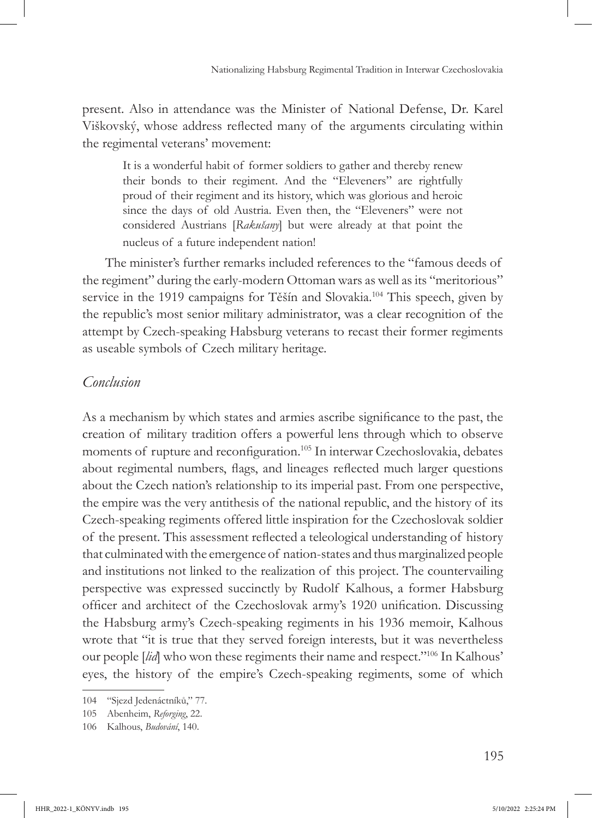present. Also in attendance was the Minister of National Defense, Dr. Karel Viškovský, whose address reflected many of the arguments circulating within the regimental veterans' movement:

It is a wonderful habit of former soldiers to gather and thereby renew their bonds to their regiment. And the "Eleveners" are rightfully proud of their regiment and its history, which was glorious and heroic since the days of old Austria. Even then, the "Eleveners" were not considered Austrians [*Rakušany*] but were already at that point the nucleus of a future independent nation!

The minister's further remarks included references to the "famous deeds of the regiment" during the early-modern Ottoman wars as well as its "meritorious" service in the 1919 campaigns for Těšín and Slovakia.<sup>104</sup> This speech, given by the republic's most senior military administrator, was a clear recognition of the attempt by Czech-speaking Habsburg veterans to recast their former regiments as useable symbols of Czech military heritage.

## *Conclusion*

As a mechanism by which states and armies ascribe significance to the past, the creation of military tradition offers a powerful lens through which to observe moments of rupture and reconfiguration.<sup>105</sup> In interwar Czechoslovakia, debates about regimental numbers, flags, and lineages reflected much larger questions about the Czech nation's relationship to its imperial past. From one perspective, the empire was the very antithesis of the national republic, and the history of its Czech-speaking regiments offered little inspiration for the Czechoslovak soldier of the present. This assessment reflected a teleological understanding of history that culminated with the emergence of nation-states and thus marginalized people and institutions not linked to the realization of this project. The countervailing perspective was expressed succinctly by Rudolf Kalhous, a former Habsburg officer and architect of the Czechoslovak army's 1920 unification. Discussing the Habsburg army's Czech-speaking regiments in his 1936 memoir, Kalhous wrote that "it is true that they served foreign interests, but it was nevertheless our people [*lid*] who won these regiments their name and respect."<sup>106</sup> In Kalhous' eyes, the history of the empire's Czech-speaking regiments, some of which

<sup>104</sup> "Sjezd Jedenáctníků," 77.

<sup>105</sup> Abenheim, *Reforging*, 22.

<sup>106</sup> Kalhous, *Budování*, 140.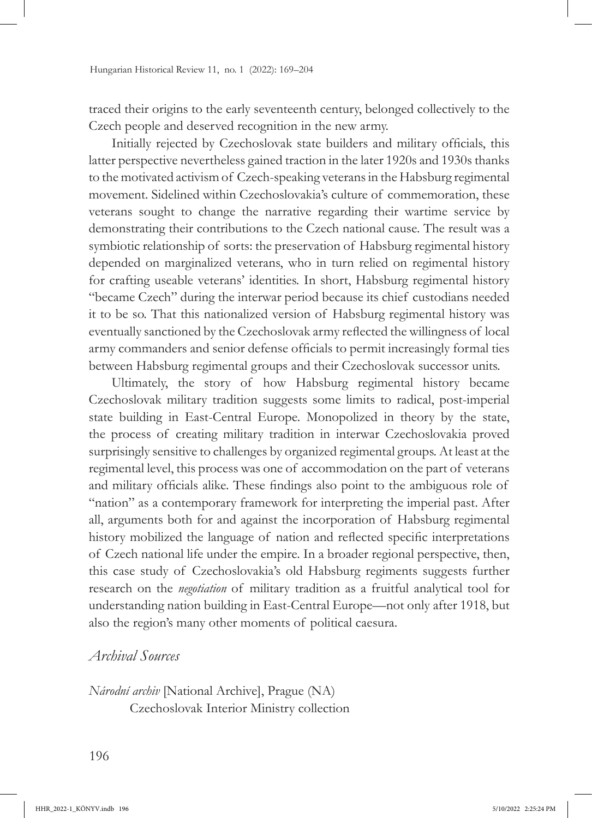traced their origins to the early seventeenth century, belonged collectively to the Czech people and deserved recognition in the new army.

Initially rejected by Czechoslovak state builders and military officials, this latter perspective nevertheless gained traction in the later 1920s and 1930s thanks to the motivated activism of Czech-speaking veterans in the Habsburg regimental movement. Sidelined within Czechoslovakia's culture of commemoration, these veterans sought to change the narrative regarding their wartime service by demonstrating their contributions to the Czech national cause. The result was a symbiotic relationship of sorts: the preservation of Habsburg regimental history depended on marginalized veterans, who in turn relied on regimental history for crafting useable veterans' identities. In short, Habsburg regimental history "became Czech" during the interwar period because its chief custodians needed it to be so. That this nationalized version of Habsburg regimental history was eventually sanctioned by the Czechoslovak army reflected the willingness of local army commanders and senior defense officials to permit increasingly formal ties between Habsburg regimental groups and their Czechoslovak successor units.

Ultimately, the story of how Habsburg regimental history became Czechoslovak military tradition suggests some limits to radical, post-imperial state building in East-Central Europe. Monopolized in theory by the state, the process of creating military tradition in interwar Czechoslovakia proved surprisingly sensitive to challenges by organized regimental groups. At least at the regimental level, this process was one of accommodation on the part of veterans and military officials alike. These findings also point to the ambiguous role of "nation" as a contemporary framework for interpreting the imperial past. After all, arguments both for and against the incorporation of Habsburg regimental history mobilized the language of nation and reflected specific interpretations of Czech national life under the empire. In a broader regional perspective, then, this case study of Czechoslovakia's old Habsburg regiments suggests further research on the *negotiation* of military tradition as a fruitful analytical tool for understanding nation building in East-Central Europe—not only after 1918, but also the region's many other moments of political caesura.

#### *Archival Sources*

*Národní archiv* [National Archive], Prague (NA) Czechoslovak Interior Ministry collection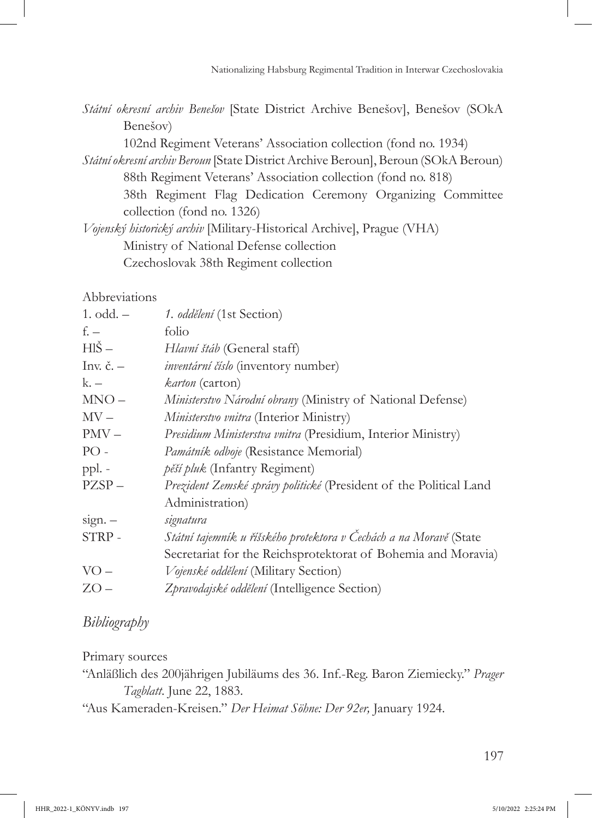| Státní okresní archiv Benešov [State District Archive Benešov], Benešov (SOkA      |
|------------------------------------------------------------------------------------|
| Benesov)                                                                           |
| 102nd Regiment Veterans' Association collection (fond no. 1934)                    |
| Státní okresní archiv Beroun [State District Archive Beroun], Beroun (SOkA Beroun) |
| 88th Regiment Veterans' Association collection (fond no. 818)                      |
| 38th Regiment Flag Dedication Ceremony Organizing Committee                        |
| collection (fond no. 1326)                                                         |
| Vojenský historický archiv [Military-Historical Archive], Prague (VHA)             |
| Ministry of National Defense collection                                            |
| Czechoslovak 38th Regiment collection                                              |

#### Abbreviations

| $1.$ odd. $-$          | 1. oddělení (1st Section)                                          |
|------------------------|--------------------------------------------------------------------|
| $f -$                  | folio                                                              |
| $Hl\check{S}$ –        | Hlavní štáb (General staff)                                        |
| Inv. $\check{c}$ . $-$ | <i>inventární číslo</i> (inventory number)                         |
| $k -$                  | karton (carton)                                                    |
| $MNO -$                | Ministerstvo Národní obrany (Ministry of National Defense)         |
| $MV -$                 | Ministerstvo vnitra (Interior Ministry)                            |
| $PMV -$                | Presidium Ministerstva vnitra (Presidium, Interior Ministry)       |
| $PO -$                 | Památník odboje (Resistance Memorial)                              |
| ppl. -                 | pěší pluk (Infantry Regiment)                                      |
| $PZSP-$                | Prezident Zemské správy politické (President of the Political Land |
|                        | Administration)                                                    |
| $sign. -$              | signatura                                                          |
| STRP-                  | Státní tajemník u říšského protektora v Čechách a na Moravě (State |
|                        | Secretariat for the Reichsprotektorat of Bohemia and Moravia)      |
| $VO -$                 | Vojenské oddělení (Military Section)                               |
| $ZO$ –                 | Zpravodajské oddělení (Intelligence Section)                       |
|                        |                                                                    |

### *Bibliography*

Primary sources

"Anläßlich des 200jährigen Jubiläums des 36. Inf.-Reg. Baron Ziemiecky." *Prager Tagblatt*. June 22, 1883.

"Aus Kameraden-Kreisen." *Der Heimat Söhne: Der 92er,* January 1924.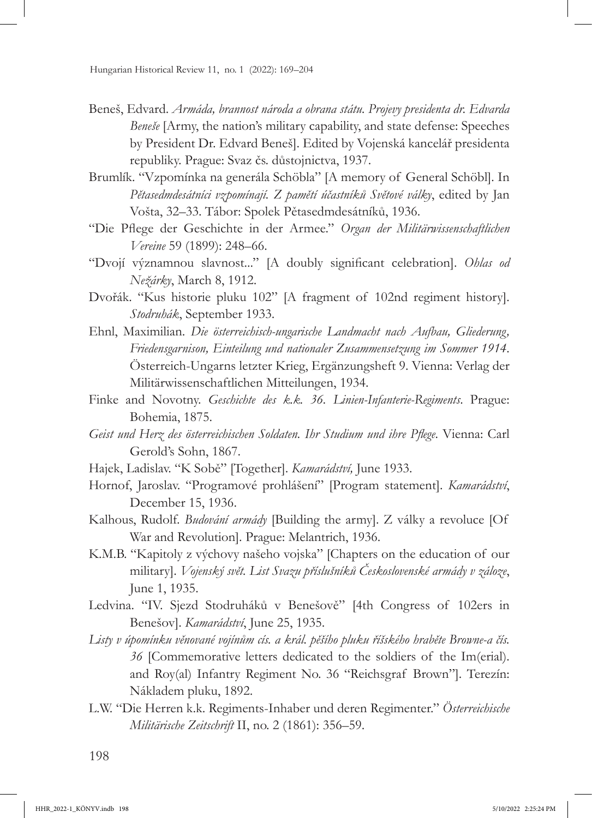- Beneš, Edvard. *Armáda, brannost národa a obrana státu. Projevy presidenta dr. Edvarda Beneše* [Army, the nation's military capability, and state defense: Speeches by President Dr. Edvard Beneš]. Edited by Vojenská kancelář presidenta republiky. Prague: Svaz čs. důstojnictva, 1937.
- Brumlík. "Vzpomínka na generála Schöbla" [A memory of General Schöbl]. In *Pětasedmdesátníci vzpomínají. Z pamětí účastníků Světové války*, edited by Jan Vošta, 32–33. Tábor: Spolek Pětasedmdesátníků, 1936.
- "Die Pflege der Geschichte in der Armee." *Organ der Militärwissenschaftlichen Vereine* 59 (1899): 248–66.
- "Dvojí významnou slavnost..." [A doubly significant celebration]. *Ohlas od Nežárky*, March 8, 1912.
- Dvořák. "Kus historie pluku 102" [A fragment of 102nd regiment history]. *Stodruhák*, September 1933.
- Ehnl, Maximilian. *Die österreichisch-ungarische Landmacht nach Aufbau, Gliederung, Friedensgarnison, Einteilung und nationaler Zusammensetzung im Sommer 1914*. Österreich-Ungarns letzter Krieg, Ergänzungsheft 9. Vienna: Verlag der Militärwissenschaftlichen Mitteilungen, 1934.
- Finke and Novotny. *Geschichte des k.k. 36. Linien-Infanterie-Regiments*. Prague: Bohemia, 1875.
- *Geist und Herz des österreichischen Soldaten. Ihr Studium und ihre Pflege*. Vienna: Carl Gerold's Sohn, 1867.
- Hajek, Ladislav. "K Sobě" [Together]. *Kamarádství,* June 1933.
- Hornof, Jaroslav. "Programové prohlášení" [Program statement]. *Kamarádství*, December 15, 1936.
- Kalhous, Rudolf. *Budování armády* [Building the army]. Z války a revoluce [Of War and Revolution]. Prague: Melantrich, 1936.
- K.M.B. "Kapitoly z výchovy našeho vojska" [Chapters on the education of our military]. *Vojenský svět. List Svazu příslušníků Československé armády v záloze*, June 1, 1935.
- Ledvina. "IV. Sjezd Stodruháků v Benešově" [4th Congress of 102ers in Benešov]. *Kamarádství*, June 25, 1935.
- *Listy v úpomínku věnované vojínům cís. a král. pěšího pluku říšského hraběte Browne-a čís. 36* [Commemorative letters dedicated to the soldiers of the Im(erial). and Roy(al) Infantry Regiment No. 36 "Reichsgraf Brown"]. Terezín: Nákladem pluku, 1892.
- L.W. "Die Herren k.k. Regiments-Inhaber und deren Regimenter." *Österreichische Militärische Zeitschrift* II, no. 2 (1861): 356–59.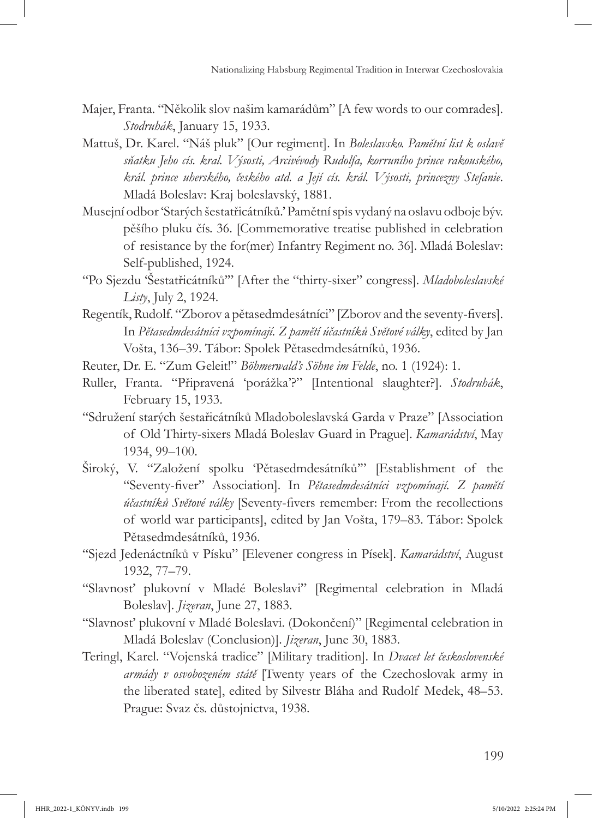- Majer, Franta. "Několik slov našim kamarádům" [A few words to our comrades]. *Stodruhák*, January 15, 1933.
- Mattuš, Dr. Karel. "Náš pluk" [Our regiment]. In *Boleslavsko. Pamětní list k oslavě sňatku Jeho cís. kral. Výsosti, Arcivévody Rudolfa, korruního prince rakouského, král. prince uherského, českého atd. a Její cís. král. Výsosti, princezny Stefanie*. Mladá Boleslav: Kraj boleslavský, 1881.
- Musejní odbor 'Starých šestatřicátníků.' Pamětní spis vydaný na oslavu odboje býv. pěšího pluku čís. 36. [Commemorative treatise published in celebration of resistance by the for(mer) Infantry Regiment no. 36]. Mladá Boleslav: Self-published, 1924.
- "Po Sjezdu 'Šestatřicátníků'" [After the "thirty-sixer" congress]. *Mladoboleslavské Listy*, July 2, 1924.
- Regentík, Rudolf. "Zborov a pětasedmdesátníci" [Zborov and the seventy-fivers]. In *Pětasedmdesátníci vzpomínají. Z pamětí účastníků Světové války*, edited by Jan Vošta, 136–39. Tábor: Spolek Pětasedmdesátníků, 1936.
- Reuter, Dr. E. "Zum Geleit!" *Böhmerwald's Söhne im Felde*, no. 1 (1924): 1.
- Ruller, Franta. "Připravená 'porážka'?" [Intentional slaughter?]. *Stodruhák*, February 15, 1933.
- "Sdružení starých šestařicátníků Mladoboleslavská Garda v Praze" [Association of Old Thirty-sixers Mladá Boleslav Guard in Prague]. *Kamarádství*, May 1934, 99–100.
- Široký, V. "Založení spolku 'Pětasedmdesátníků'" [Establishment of the "Seventy-fiver" Association]. In *Pětasedmdesátníci vzpomínají. Z pamětí účastníků Světové války* [Seventy-fivers remember: From the recollections of world war participants], edited by Jan Vošta, 179–83. Tábor: Spolek Pětasedmdesátníků, 1936.
- "Sjezd Jedenáctníků v Písku" [Elevener congress in Písek]. *Kamarádství*, August 1932, 77–79.
- "Slavnosť plukovní v Mladé Boleslavi" [Regimental celebration in Mladá Boleslav]. *Jizeran*, June 27, 1883.
- "Slavnosť plukovní v Mladé Boleslavi. (Dokončení)" [Regimental celebration in Mladá Boleslav (Conclusion)]. *Jizeran*, June 30, 1883.
- Teringl, Karel. "Vojenská tradice" [Military tradition]. In *Dvacet let československé armády v osvobozeném státě* [Twenty years of the Czechoslovak army in the liberated state], edited by Silvestr Bláha and Rudolf Medek, 48–53. Prague: Svaz čs. důstojnictva, 1938.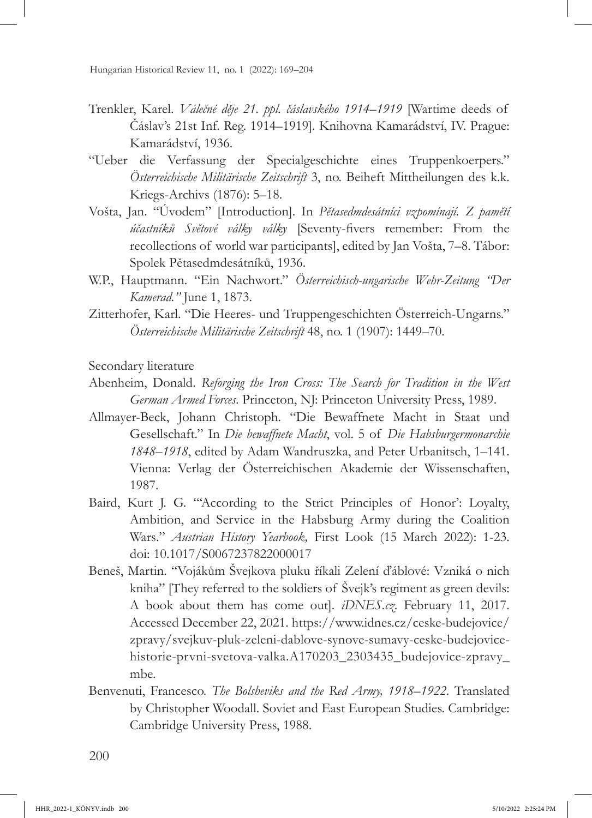- Trenkler, Karel. *Válečné děje 21. ppl. čáslavského 1914–1919* [Wartime deeds of Čáslav's 21st Inf. Reg. 1914–1919]. Knihovna Kamarádství, IV. Prague: Kamarádství, 1936.
- "Ueber die Verfassung der Specialgeschichte eines Truppenkoerpers." *Österreichische Militärische Zeitschrift* 3, no. Beiheft Mittheilungen des k.k. Kriegs-Archivs (1876): 5–18.
- Vošta, Jan. "Úvodem" [Introduction]. In *Pětasedmdesátníci vzpomínají. Z pamětí účastníků Světové války války* [Seventy-fivers remember: From the recollections of world war participants], edited by Jan Vošta, 7–8. Tábor: Spolek Pětasedmdesátníků, 1936.
- W.P., Hauptmann. "Ein Nachwort." *Österreichisch-ungarische Wehr-Zeitung "Der Kamerad."* June 1, 1873.
- Zitterhofer, Karl. "Die Heeres- und Truppengeschichten Österreich-Ungarns." *Österreichische Militärische Zeitschrift* 48, no. 1 (1907): 1449–70.

Secondary literature

- Abenheim, Donald. *Reforging the Iron Cross: The Search for Tradition in the West German Armed Forces*. Princeton, NJ: Princeton University Press, 1989.
- Allmayer-Beck, Johann Christoph. "Die Bewaffnete Macht in Staat und Gesellschaft." In *Die bewaffnete Macht*, vol. 5 of *Die Habsburgermonarchie 1848–1918*, edited by Adam Wandruszka, and Peter Urbanitsch, 1–141. Vienna: Verlag der Österreichischen Akademie der Wissenschaften, 1987.
- Baird, Kurt J. G. "'According to the Strict Principles of Honor': Loyalty, Ambition, and Service in the Habsburg Army during the Coalition Wars." *Austrian History Yearbook,* First Look (15 March 2022): 1-23. doi: [10.1017/S0067237822000017](https://doi.org/10.1017/S0067237822000017)
- Beneš, Martin. "Vojákům Švejkova pluku říkali Zelení ďáblové: Vzniká o nich kniha" [They referred to the soldiers of Švejk's regiment as green devils: A book about them has come out]. *iDNES.cz*. February 11, 2017. Accessed December 22, 2021. https://www.idnes.cz/ceske-budejovice/ zpravy/svejkuv-pluk-zeleni-dablove-synove-sumavy-ceske-budejovicehistorie-prvni-svetova-valka.A170203\_2303435\_budejovice-zpravy\_ mbe.
- Benvenuti, Francesco. *The Bolsheviks and the Red Army, 1918–1922*. Translated by Christopher Woodall. Soviet and East European Studies. Cambridge: Cambridge University Press, 1988.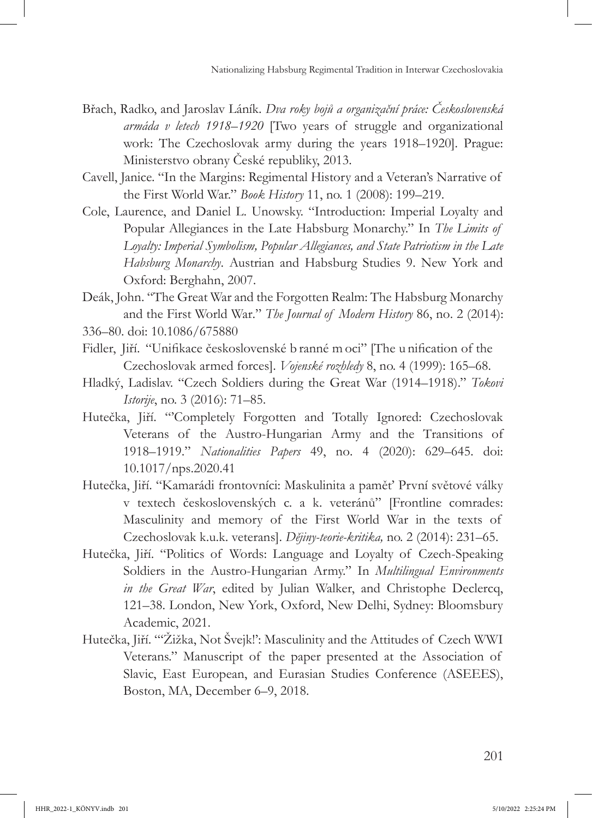- Břach, Radko, and Jaroslav Láník. *Dva roky bojů a organizační práce: Československá armáda v letech 1918–1920* [Two years of struggle and organizational work: The Czechoslovak army during the years 1918–1920]. Prague: Ministerstvo obrany České republiky, 2013.
- Cavell, Janice. "In the Margins: Regimental History and a Veteran's Narrative of the First World War." *Book History* 11, no. 1 (2008): 199–219.
- Cole, Laurence, and Daniel L. Unowsky. "Introduction: Imperial Loyalty and Popular Allegiances in the Late Habsburg Monarchy." In *The Limits of Loyalty: Imperial Symbolism, Popular Allegiances, and State Patriotism in the Late Habsburg Monarchy*. Austrian and Habsburg Studies 9. New York and Oxford: Berghahn, 2007.
- Deák, John. "The Great War and the Forgotten Realm: The Habsburg Monarchy and the First World War." *The Journal of Modern History* 86, no. 2 (2014):

336–80. doi: [10.1086/675880](https://doi.org/10.1086/675880)

- Fidler, Jiří. "Unifikace československé b ranné m oci" [The u nification of the Czechoslovak armed forces]. *Vojenské rozhledy* 8, no. 4 (1999): 165–68.
- Hladký, Ladislav. "Czech Soldiers during the Great War (1914–1918)." *Tokovi Istorije*, no. 3 (2016): 71–85.
- Hutečka, Jiří. "'Completely Forgotten and Totally Ignored: Czechoslovak Veterans of the Austro-Hungarian Army and the Transitions of 1918–1919." *Nationalities Papers* 49, no. 4 (2020): 629–645. doi: [10.1017/nps.2020.41](https://doi.org/10.1017/nps.2020.41)
- Hutečka, Jiří. "Kamarádi frontovníci: Maskulinita a paměť První světové války v textech československých c. a k. veteránů" [Frontline comrades: Masculinity and memory of the First World War in the texts of Czechoslovak k.u.k. veterans]. *Dějiny-teorie-kritika,* no. 2 (2014): 231–65.
- Hutečka, Jiří. "Politics of Words: Language and Loyalty of Czech-Speaking Soldiers in the Austro-Hungarian Army." In *Multilingual Environments in the Great War*, edited by Julian Walker, and Christophe Declercq, 121–38. London, New York, Oxford, New Delhi, Sydney: Bloomsbury Academic, 2021.
- Hutečka, Jiří. "'Žižka, Not Švejk!': Masculinity and the Attitudes of Czech WWI Veterans." Manuscript of the paper presented at the Association of Slavic, East European, and Eurasian Studies Conference (ASEEES), Boston, MA, December 6–9, 2018.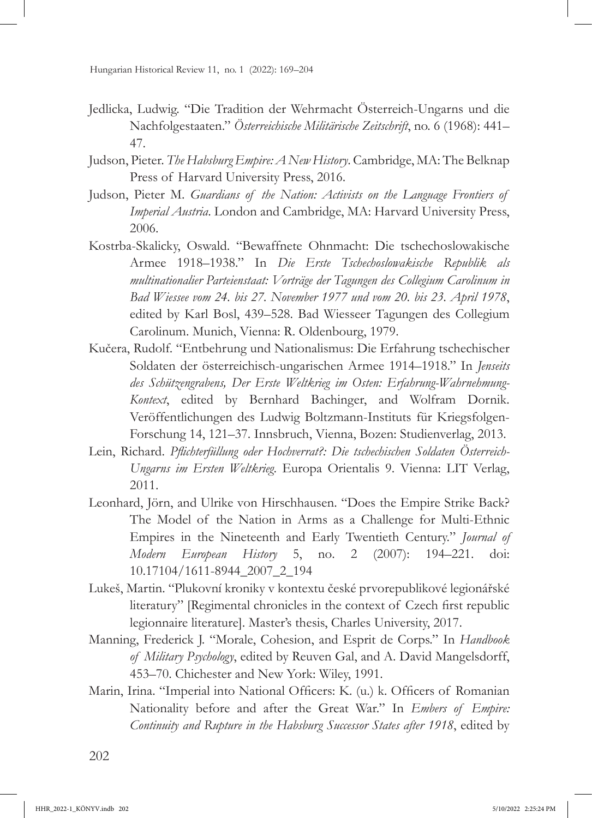- Jedlicka, Ludwig. "Die Tradition der Wehrmacht Österreich-Ungarns und die Nachfolgestaaten." *Österreichische Militärische Zeitschrift*, no. 6 (1968): 441– 47.
- Judson, Pieter. *The Habsburg Empire: A New History*. Cambridge, MA: The Belknap Press of Harvard University Press, 2016.
- Judson, Pieter M. *Guardians of the Nation: Activists on the Language Frontiers of Imperial Austria*. London and Cambridge, MA: Harvard University Press, 2006.
- Kostrba-Skalicky, Oswald. "Bewaffnete Ohnmacht: Die tschechoslowakische Armee 1918–1938." In *Die Erste Tschechoslowakische Republik als multinationalier Parteienstaat: Vorträge der Tagungen des Collegium Carolinum in Bad Wiessee vom 24. bis 27. November 1977 und vom 20. bis 23. April 1978*, edited by Karl Bosl, 439–528. Bad Wiesseer Tagungen des Collegium Carolinum. Munich, Vienna: R. Oldenbourg, 1979.
- Kučera, Rudolf. "Entbehrung und Nationalismus: Die Erfahrung tschechischer Soldaten der österreichisch-ungarischen Armee 1914–1918." In *Jenseits des Schützengrabens, Der Erste Weltkrieg im Osten: Erfahrung-Wahrnehmung-Kontext*, edited by Bernhard Bachinger, and Wolfram Dornik. Veröffentlichungen des Ludwig Boltzmann-Instituts für Kriegsfolgen-Forschung 14, 121–37. Innsbruch, Vienna, Bozen: Studienverlag, 2013.
- Lein, Richard. *Pflichterfüllung oder Hochverrat?: Die tschechischen Soldaten Österreich-Ungarns im Ersten Weltkrieg*. Europa Orientalis 9. Vienna: LIT Verlag, 2011.
- Leonhard, Jörn, and Ulrike von Hirschhausen. "Does the Empire Strike Back? The Model of the Nation in Arms as a Challenge for Multi-Ethnic Empires in the Nineteenth and Early Twentieth Century." *Journal of Modern European History* 5, no. 2 (2007): 194–221. doi: [10.17104/1611-8944\\_2007\\_2\\_194](https://doi.org/10.17104/1611-8944_2007_2_194)
- Lukeš, Martin. "Plukovní kroniky v kontextu české prvorepublikové legionářské literatury" [Regimental chronicles in the context of Czech first republic legionnaire literature]. Master's thesis, Charles University, 2017.
- Manning, Frederick J. "Morale, Cohesion, and Esprit de Corps." In *Handbook of Military Psychology*, edited by Reuven Gal, and A. David Mangelsdorff, 453–70. Chichester and New York: Wiley, 1991.
- Marin, Irina. "Imperial into National Officers: K. (u.) k. Officers of Romanian Nationality before and after the Great War." In *Embers of Empire: Continuity and Rupture in the Habsburg Successor States after 1918*, edited by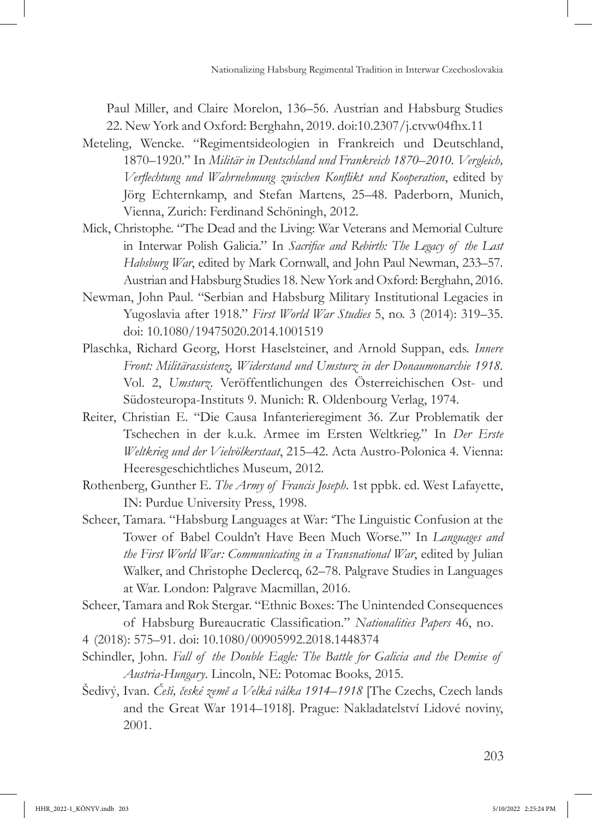Paul Miller, and Claire Morelon, 136–56. Austrian and Habsburg Studies 22. New York and Oxford: Berghahn, 2019. doi:[10.2307/j.ctvw04fhx.11](https://doi.org/10.2307/j.ctvw04fhx.11)

- Meteling, Wencke. "Regimentsideologien in Frankreich und Deutschland, 1870–1920." In *Militär in Deutschland und Frankreich 1870–2010. Vergleich, Verflechtung und Wahrnehmung zwischen Konflikt und Kooperation*, edited by Jörg Echternkamp, and Stefan Martens, 25–48. Paderborn, Munich, Vienna, Zurich: Ferdinand Schöningh, 2012.
- Mick, Christophe. "The Dead and the Living: War Veterans and Memorial Culture in Interwar Polish Galicia." In *Sacrifice and Rebirth: The Legacy of the Last Habsburg War*, edited by Mark Cornwall, and John Paul Newman, 233–57. Austrian and Habsburg Studies 18. New York and Oxford: Berghahn, 2016.
- Newman, John Paul. "Serbian and Habsburg Military Institutional Legacies in Yugoslavia after 1918." *First World War Studies* 5, no. 3 (2014): 319–35. doi: [10.1080/19475020.2014.1001519](https://doi.org/10.1080/19475020.2014.1001519)
- Plaschka, Richard Georg, Horst Haselsteiner, and Arnold Suppan, eds. *Innere Front: Militärassistenz, Widerstand und Umsturz in der Donaumonarchie 1918.*  Vol. 2, *Umsturz*. Veröffentlichungen des Österreichischen Ost- und Südosteuropa-Instituts 9. Munich: R. Oldenbourg Verlag, 1974.
- Reiter, Christian E. "Die Causa Infanterieregiment 36. Zur Problematik der Tschechen in der k.u.k. Armee im Ersten Weltkrieg." In *Der Erste Weltkrieg und der Vielvölkerstaat*, 215–42. Acta Austro-Polonica 4. Vienna: Heeresgeschichtliches Museum, 2012.
- Rothenberg, Gunther E. *The Army of Francis Joseph*. 1st ppbk. ed. West Lafayette, IN: Purdue University Press, 1998.
- Scheer, Tamara. "Habsburg Languages at War: 'The Linguistic Confusion at the Tower of Babel Couldn't Have Been Much Worse.'" In *Languages and the First World War: Communicating in a Transnational War*, edited by Julian Walker, and Christophe Declercq, 62–78. Palgrave Studies in Languages at War. London: Palgrave Macmillan, 2016.
- Scheer, Tamara and Rok Stergar. "Ethnic Boxes: The Unintended Consequences of Habsburg Bureaucratic Classification." *Nationalities Papers* 46, no.
- 4 (2018): 575–91. doi: [10.1080/00905992.2018.1448374](https://doi.org/10.1080/00905992.2018.1448374)
- Schindler, John. *Fall of the Double Eagle: The Battle for Galicia and the Demise of Austria-Hungary*. Lincoln, NE: Potomac Books, 2015.
- Šedivý, Ivan. *Češi, české země a Velká válka 1914–1918* [The Czechs, Czech lands and the Great War 1914–1918]. Prague: Nakladatelství Lidové noviny, 2001.